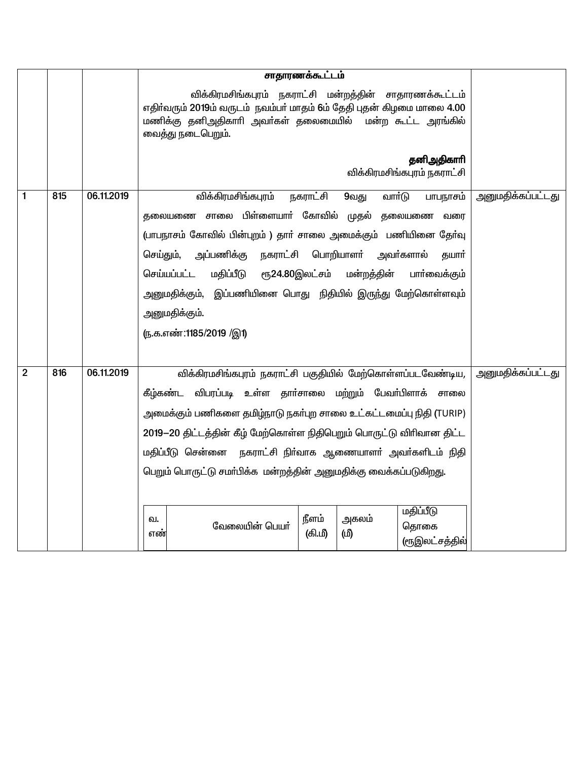|                |     |            | சாதாரணக்கூட்டம்                                                                                                                                                                                                   |
|----------------|-----|------------|-------------------------------------------------------------------------------------------------------------------------------------------------------------------------------------------------------------------|
|                |     |            | விக்கிரமசிங்கபுரம் நகராட்சி மன்றத்தின் சாதாரணக்கூட்டம்<br>எதிர்வரும் 2019ம் வருடம் நவம்பர் மாதம் 6ம் தேதி புதன் கிழமை மாலை 4.00<br>மணிக்கு தனிஅதிகாரி அவர்கள் தலைமையில்  மன்ற கூட்ட அரங்கில்<br>வைத்து நடைபெறும். |
|                |     |            | தனிஅதிகாரி<br>விக்கிரமசிங்கபுரம் நகராட்சி                                                                                                                                                                         |
| 1              | 815 | 06.11.2019 | விக்கிரமசிங்கபுரம்<br>நகராட்சி<br>வாா்டு<br>9வது<br>அனுமதிக்கப்பட்டது<br>பாபநாசம்                                                                                                                                 |
|                |     |            | தலையணை சாலை பிள்ளையாா் கோவில் முதல்<br>தலையணை<br>வரை                                                                                                                                                              |
|                |     |            | (பாபநாசம் கோவில் பின்புறம் ) தாா் சாலை அமைக்கும் பணியினை தோ்வு<br>அப்பணிக்கு நகராட்சி பொறியாளா்<br>செய்தும்,<br>அவா்களால்<br>தயார்                                                                                |
|                |     |            | செய்யப்பட்ட<br>மதிப்பீடு<br>ரூ24.80இலட்சம்<br>மன்றத்தின்<br>பாா்வைக்கும்                                                                                                                                          |
|                |     |            | அனுமதிக்கும்,  இப்பணியினை பொது  நிதியில் இருந்து மேற்கொள்ளவும்                                                                                                                                                    |
|                |     |            | அனுமதிக்கும்.                                                                                                                                                                                                     |
|                |     |            | (ந.க.எண்:1185/2019 /இ1)                                                                                                                                                                                           |
|                |     |            |                                                                                                                                                                                                                   |
| $\overline{2}$ | 816 | 06.11.2019 | விக்கிரமசிங்கபுரம் நகராட்சி பகுதியில் மேற்கொள்ளப்படவேண்டிய,<br><u>அனுமதிக்கப்பட்டது</u>                                                                                                                           |
|                |     |            | கீழ்கண்ட விபரப்படி உள்ள தாா்சாலை மற்றும் பேவா்பிளாக்<br>சாலை                                                                                                                                                      |
|                |     |            | அமைக்கும் பணிகளை தமிழ்நாடு நகா்புற சாலை உட்கட்டமைப்பு நிதி (TURIP)<br>2019–20 திட்டத்தின் கீழ் மேற்கொள்ள நிதிபெறும் பொருட்டு விரிவான திட்ட                                                                        |
|                |     |            | மதிப்பீடு சென்னை நகராட்சி நிர்வாக ஆணையாளர் அவர்களிடம் நிதி                                                                                                                                                        |
|                |     |            | பெறும் பொருட்டு சமா்பிக்க மன்றத்தின் அனுமதிக்கு வைக்கப்படுகிறது.                                                                                                                                                  |
|                |     |            |                                                                                                                                                                                                                   |
|                |     |            | மதிப்பீடு<br>நீளம்<br>அகலம்<br>ഖ.<br>வேலையின் பெயர்<br>தொகை<br>(மி<br>(கி.மீ)<br>எண்<br>(ரூஇலட்சத்தில்                                                                                                            |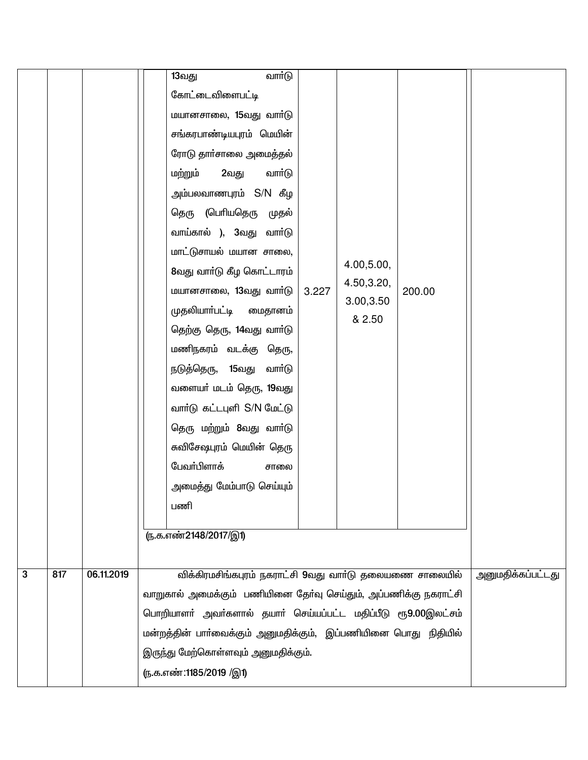|              |     |            | வார்டு<br>13வது                                                |       |             |        |                   |
|--------------|-----|------------|----------------------------------------------------------------|-------|-------------|--------|-------------------|
|              |     |            | கோட்டைவிளைபட்டி                                                |       |             |        |                   |
|              |     |            | மயானசாலை, 15வது வார்டு                                         |       |             |        |                   |
|              |     |            | சங்கரபாண்டியபுரம் மெயின்                                       |       |             |        |                   |
|              |     |            | ரோடு தாா்சாலை அமைத்தல்                                         |       |             |        |                   |
|              |     |            | மற்றும்<br>2வது<br>வார்டு                                      |       |             |        |                   |
|              |     |            | அம்பலவாணபுரம் S/N கீழ                                          |       |             |        |                   |
|              |     |            | தெரு (பெரியதெரு முதல்                                          |       |             |        |                   |
|              |     |            | வாய்கால் ), 3வது வாா்டு                                        |       |             |        |                   |
|              |     |            | மாட்டுசாயல் மயான சாலை,                                         |       | 4.00, 5.00, |        |                   |
|              |     |            | 8வது வார்டு கீழ கொட்டாரம்                                      |       | 4.50,3.20,  |        |                   |
|              |     |            | மயானசாலை, 13வது வார்டு                                         | 3.227 | 3.00, 3.50  | 200.00 |                   |
|              |     |            | முதலியாா்பட்டி மைதானம்                                         |       | & 2.50      |        |                   |
|              |     |            | தெற்கு தெரு, 14வது வாா்டு                                      |       |             |        |                   |
|              |     |            | மணிநகரம் வடக்கு தெரு,                                          |       |             |        |                   |
|              |     |            | நடுத்தெரு, 15வது வாா்டு                                        |       |             |        |                   |
|              |     |            | வளையா் மடம் தெரு, 19வது                                        |       |             |        |                   |
|              |     |            | வார்டு கட்டபுளி S/N மேட்டு                                     |       |             |        |                   |
|              |     |            | தெரு மற்றும் 8வது வாா்டு                                       |       |             |        |                   |
|              |     |            | சுவிசேஷபுரம் மெயின் தெரு                                       |       |             |        |                   |
|              |     |            | பேவா்பிளாக்<br>சாலை                                            |       |             |        |                   |
|              |     |            | அமைத்து மேம்பாடு செய்யும்                                      |       |             |        |                   |
|              |     |            | பணி                                                            |       |             |        |                   |
|              |     |            | <u>ரு.க.எண்2148/2017/இ1)</u>                                   |       |             |        |                   |
|              |     |            |                                                                |       |             |        |                   |
| $\mathbf{3}$ | 817 | 06.11.2019 | விக்கிரமசிங்கபுரம் நகராட்சி 9வது வார்டு தலையணை சாலையில்        |       |             |        | அனுமதிக்கப்பட்டது |
|              |     |            | வாறுகால் அமைக்கும் பணியினை தோ்வு செய்தும், அப்பணிக்கு நகராட்சி |       |             |        |                   |
|              |     |            | பொறியாளா் அவா்களால் தயாா் செய்யப்பட்ட மதிப்பீடு ரூ9.00இலட்சம்  |       |             |        |                   |
|              |     |            | மன்றத்தின் பாா்வைக்கும் அனுமதிக்கும், இப்பணியினை பொது நிதியில் |       |             |        |                   |
|              |     |            | இருந்து மேற்கொள்ளவும் அனுமதிக்கும்.                            |       |             |        |                   |
|              |     |            | (ந.க.எண்:1185/2019 /இ1)                                        |       |             |        |                   |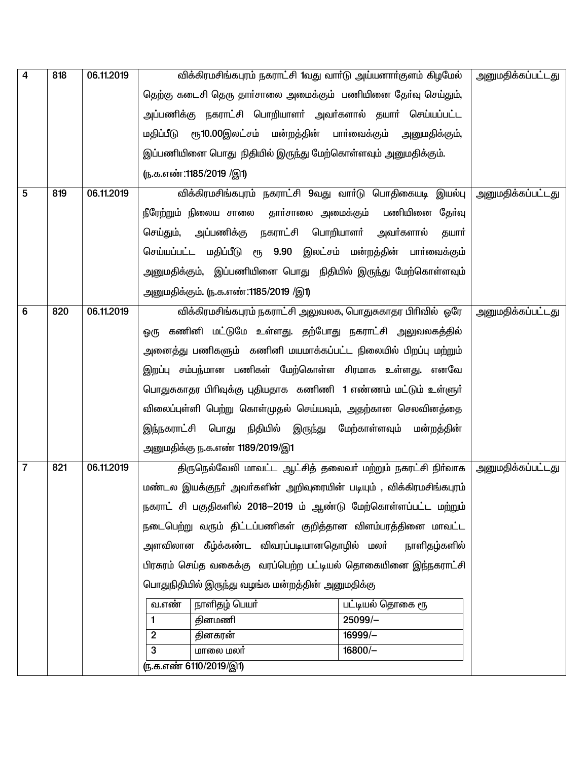| 4              | 818 | 06.11.2019 | விக்கிரமசிங்கபுரம் நகராட்சி 1வது வார்டு அய்யனார்குளம் கிழமேல்      |                             | அனுமதிக்கப்பட்டது        |
|----------------|-----|------------|--------------------------------------------------------------------|-----------------------------|--------------------------|
|                |     |            | தெற்கு கடைசி தெரு தாா்சாலை அமைக்கும் பணியினை தோ்வு செய்தும்,       |                             |                          |
|                |     |            | அப்பணிக்கு நகராட்சி பொறியாளா் அவா்களால் தயாா் செய்யப்பட்ட          |                             |                          |
|                |     |            | ரூ10.00இலட்சம் மன்றத்தின் பாா்வைக்கும்<br>மதிப்பீடு                | அனுமதிக்கும்,               |                          |
|                |     |            | இப்பணியினை பொது நிதியில் இருந்து மேற்கொள்ளவும் அனுமதிக்கும்.       |                             |                          |
|                |     |            | ரு.க.எண்:1185/2019 /இ1)                                            |                             |                          |
| 5              | 819 | 06.11.2019 | விக்கிரமசிங்கபுரம் நகராட்சி 9வது வாா்டு பொதிகையடி இயல்பு           |                             | <u>அனுமதிக்கப்பட்டது</u> |
|                |     |            | நீரேற்றும் நிலைய சாலை தாா்சாலை அமைக்கும்                           | பணியினை தேர்வு              |                          |
|                |     |            | அப்பணிக்கு நகராட்சி பொறியாளா் அவா்களால்<br>செய்தும்,               | தயார்                       |                          |
|                |     |            | செய்யப்பட்ட மதிப்பீடு ரூ 9.90 இலட்சம் மன்றத்தின் பாா்வைக்கும்      |                             |                          |
|                |     |            | அனுமதிக்கும்,  இப்பணியினை பொது  நிதியில் இருந்து மேற்கொள்ளவும்     |                             |                          |
|                |     |            | அனுமதிக்கும். (ந.க.எண்:1185/2019 /இ1)                              |                             |                          |
| 6              | 820 | 06.11.2019 | விக்கிரமசிங்கபுரம் நகராட்சி அலுவலக, பொதுசுகாதர பிரிவில் ஒரே        |                             | அனுமதிக்கப்பட்டது        |
|                |     |            | கணினி மட்டுமே உள்ளது. தற்போது நகராட்சி அலுவலகத்தில்<br>ஓரு         |                             |                          |
|                |     |            | அனைத்து பணிகளும் கணினி மயமாக்கப்பட்ட நிலையில் பிறப்பு மற்றும்      |                             |                          |
|                |     |            | இறப்பு சம்பந்மான பணிகள் மேற்கொள்ள சிரமாக உள்ளது. எனவே              |                             |                          |
|                |     |            | பொதுசுகாதர பிரிவுக்கு புதியதாக கணிணி 1 எண்ணம் மட்டும் உள்ளுர்      |                             |                          |
|                |     |            | விலைப்புள்ளி பெற்று கொள்முதல் செய்யவும், அதற்கான செலவினத்தை        |                             |                          |
|                |     |            | நிதியில்<br>இந்நகராட்சி பொது<br>இருந்து                            | மேற்காள்ளவும்<br>மன்றத்தின் |                          |
|                |     |            | அனுமதிக்கு ந.க.எண் 1189/2019/இ1                                    |                             |                          |
| $\overline{7}$ | 821 | 06.11.2019 | திருநெல்வேலி மாவட்ட ஆட்சித் தலைவர் மற்றும் நகரட்சி நிர்வாக         |                             | <u>அனுமதிக்கப்பட்டது</u> |
|                |     |            | மண்டல இயக்குநா் அவா்களின் அறிவுரையின் படியும் , விக்கிரமசிங்கபுரம் |                             |                          |
|                |     |            | நகராட் சி பகுதிகளில் 2018–2019 ம் ஆண்டு மேற்கொள்ளப்பட்ட மற்றும்    |                             |                          |
|                |     |            | நடைபெற்று வரும் திட்டப்பணிகள் குறித்தான விளம்பரத்தினை மாவட்ட       |                             |                          |
|                |     |            | அளவிலான கீழ்க்கண்ட விவரப்படியானதொழில் மலா்                         | நாளிதழ்களில்                |                          |
|                |     |            | பிரசுரம் செய்த வகைக்கு வரப்பெற்ற பட்டியல் தொகையினை இந்நகராட்சி     |                             |                          |
|                |     |            | பொதுநிதியில் இருந்து வழங்க மன்றத்தின் அனுமதிக்கு                   |                             |                          |
|                |     |            | நாளிதழ் பெயர்<br>வ.எண்                                             | பட்டியல் தொகை ரூ            |                          |
|                |     |            | தினமணி<br>1                                                        | 25099/-                     |                          |
|                |     |            | $\overline{2}$<br>தினகரன்                                          |                             |                          |
|                |     |            | மாலை மலர்<br>3                                                     | $16800/-$                   |                          |
|                |     |            | <u>ரு.க.எண் 6110/2019/இ1)</u>                                      |                             |                          |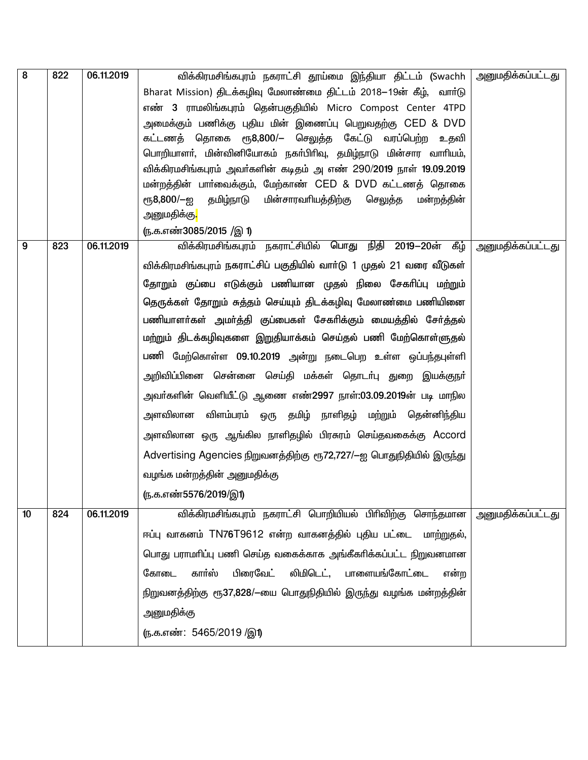| <u>அனுமதிக்கப்பட்டது</u> |
|--------------------------|
|                          |
|                          |
|                          |
|                          |
|                          |
|                          |
|                          |
|                          |
|                          |
|                          |
|                          |
|                          |
|                          |
| <u>அனுமதிக்கப்பட்டது</u> |
|                          |
|                          |
|                          |
|                          |
|                          |
|                          |
|                          |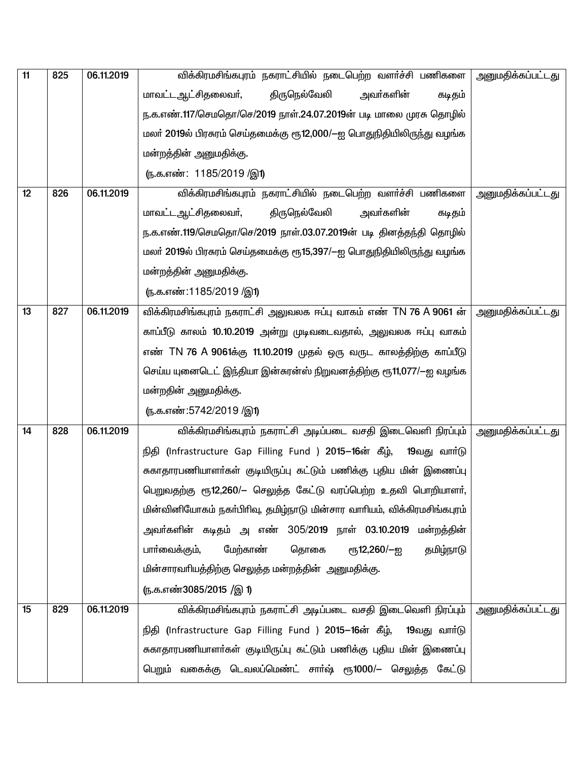| 11 | 825 | 06.11.2019 | விக்கிரமசிங்கபுரம் நகராட்சியில் நடைபெற்ற வளர்ச்சி பணிகளை                | அனுமதிக்கப்பட்டது        |
|----|-----|------------|-------------------------------------------------------------------------|--------------------------|
|    |     |            | திருநெல்வேலி<br>அவா்களின்<br>மாவட்டஆட்சிதலைவர்,<br>கடிதம்               |                          |
|    |     |            | ந.க.எண்.117/செமதொ/செ/2019 நாள்.24.07.2019ன் படி மாலை முரசு தொழில்       |                          |
|    |     |            | மலா் 2019ல் பிரசுரம் செய்தமைக்கு ரூ12,000/—ஐ பொதுநிதியிலிருந்து வழங்க   |                          |
|    |     |            | மன்றத்தின் அனுமதிக்கு.                                                  |                          |
|    |     |            | ரு.க.எண்: 1185/2019 /இ1)                                                |                          |
| 12 | 826 | 06.11.2019 | விக்கிரமசிங்கபுரம் நகராட்சியில் நடைபெற்ற வளர்ச்சி பணிகளை                | <u>அனுமதிக்கப்பட்டது</u> |
|    |     |            | திருநெல்வேலி<br>மாவட்ட ஆட்சிதலைவர்,<br>அவா்களின்<br>கடிதம்              |                          |
|    |     |            | ந.க.எண்.119/செமதொ/செ/2019 நாள்.03.07.2019ன் படி தினத்தந்தி தொழில்       |                          |
|    |     |            | மலா் 2019ல் பிரசுரம் செய்தமைக்கு ரூ15,397/—ஐ பொதுநிதியிலிருந்து வழங்க   |                          |
|    |     |            | மன்றத்தின் அனுமதிக்கு.                                                  |                          |
|    |     |            | (ந.க.எண்:1185/2019 /இ1)                                                 |                          |
| 13 | 827 | 06.11.2019 | விக்கிரமசிங்கபுரம் நகராட்சி அலுவலக ஈப்பு வாகம் எண் TN 76 A 9061 ன்      | அனுமதிக்கப்பட்டது        |
|    |     |            | காப்பீடு காலம் 10.10.2019 அன்று முடிவடைவதால், அலுவலக ஈப்பு வாகம்        |                          |
|    |     |            | எண் TN 76 A 9061க்கு 11.10.2019 முதல் ஒரு வருட காலத்திற்கு காப்பீடு     |                          |
|    |     |            | செய்ய யுனைடெட் இந்தியா இன்கரன்ஸ் நிறுவனத்திற்கு ரூ11,077/—ஐ வழங்க       |                          |
|    |     |            | மன்றதின் அனுமதிக்கு.                                                    |                          |
|    |     |            | <u>(ந</u> .க.எண்:5742/2019 /இ1)                                         |                          |
| 14 | 828 | 06.11.2019 | விக்கிரமசிங்கபுரம் நகராட்சி அடிப்படை வசதி இடைவெளி நிரப்பும்             | <u>அனுமதிக்கப்பட்டது</u> |
|    |     |            | நிதி (Infrastructure Gap Filling Fund ) 2015–16ன் கீழ்,<br>19வது வாா்டு |                          |
|    |     |            | சுகாதாரபணியாளா்கள் குடியிருப்பு கட்டும் பணிக்கு புதிய மின் இணைப்பு      |                          |
|    |     |            | பெறுவதற்கு ரூ12,260/– செலுத்த கேட்டு வரப்பெற்ற உதவி பொறியாளர்,          |                          |
|    |     |            | மின்வினியோகம் நகா்பிரிவு, தமிழ்நாடு மின்சார வாாியம், விக்கிரமசிங்கபுரம் |                          |
|    |     |            | அவர்களின் கடிதம் அளண் 305/2019 நாள் 03.10.2019 மன்றத்தின்               |                          |
|    |     |            | மேற்காண்<br>தொகை<br>பாா்வைக்கும்,<br>ரூ12,260/—ஐ<br>தமிழ்நாடு           |                          |
|    |     |            | மின்சாரவரியத்திற்கு செலுத்த மன்றத்தின் அனுமதிக்கு.                      |                          |
|    |     |            | ரு.க.எண்3085/2015 /இ 1)                                                 |                          |
| 15 | 829 | 06.11.2019 | விக்கிரமசிங்கபுரம் நகராட்சி அடிப்படை வசதி இடைவெளி நிரப்பும்             | <u>அனுமதிக்கப்பட்டது</u> |
|    |     |            | நிதி (Infrastructure Gap Filling Fund ) 2015–16ன் கீழ், 19வது வார்டு    |                          |
|    |     |            | சுகாதாரபணியாளா்கள் குடியிருப்பு கட்டும் பணிக்கு புதிய மின் இணைப்பு      |                          |
|    |     |            | பெறும் வகைக்கு டெவலப்மெண்ட் சாா்ஷ் ரூ1000/— செலுத்த கேட்டு              |                          |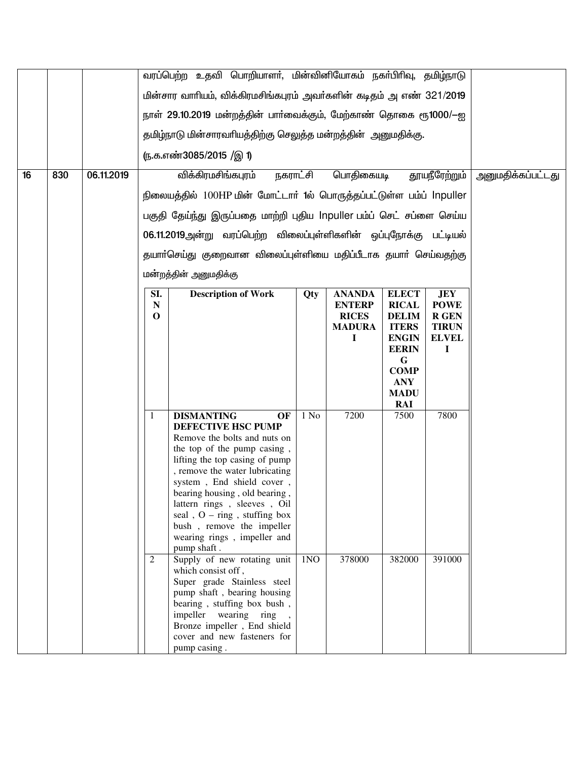|    |     |            |              | வரப்பெற்ற உதவி பொறியாளர், மின்வினியோகம் நகர்பிரிவு, தமிழ்நாடு                                                            |      |           |                  |               |                   |
|----|-----|------------|--------------|--------------------------------------------------------------------------------------------------------------------------|------|-----------|------------------|---------------|-------------------|
|    |     |            |              | மின்சார வாரியம், விக்கிரமசிங்கபுரம் அவர்களின் கடிதம் அஎண் 321/2019                                                       |      |           |                  |               |                   |
|    |     |            |              | நாள் 29.10.2019 மன்றத்தின் பாா்வைக்கும், மேற்காண் தொகை ரூ1000/-ஐ                                                         |      |           |                  |               |                   |
|    |     |            |              |                                                                                                                          |      |           |                  |               |                   |
|    |     |            |              | தமிழ்நாடு மின்சாரவாியத்திற்கு செலுத்த மன்றத்தின் அனுமதிக்கு.                                                             |      |           |                  |               |                   |
|    |     |            |              | ரு.க.எண்3085/2015 /இ 1)                                                                                                  |      |           |                  |               |                   |
| 16 | 830 | 06.11.2019 |              | விக்கிரமசிங்கபுரம்<br>நகராட்சி                                                                                           |      | பொதிகையடி |                  | தூயநீரேற்றும் | அனுமதிக்கப்பட்டது |
|    |     |            |              | நிலையத்தில் 100HP மின் மோட்டார் 1ல் பொருத்தப்பட்டுள்ள பம்ப் Inpuller                                                     |      |           |                  |               |                   |
|    |     |            |              | பகுதி தேய்ந்து இருப்பதை மாற்றி புதிய Inpuller பம்ப் செட் சப்ளை செய்ய                                                     |      |           |                  |               |                   |
|    |     |            |              | 06.11.2019அன்று வரப்பெற்ற விலைப்புள்ளிகளின் ஒப்புநோக்கு பட்டியல்                                                         |      |           |                  |               |                   |
|    |     |            |              |                                                                                                                          |      |           |                  |               |                   |
|    |     |            |              | தயாா்செய்து குறைவான விலைப்புள்ளியை மதிப்பீடாக தயாா் செய்வதற்கு                                                           |      |           |                  |               |                   |
|    |     |            |              | மன்றத்தின் அனுமதிக்கு                                                                                                    |      |           |                  |               |                   |
|    |     |            | SI.          | <b>Description of Work</b>                                                                                               | JEY  |           |                  |               |                   |
|    |     |            |              | ${\bf N}$<br><b>ENTERP</b><br><b>RICAL</b><br><b>POWE</b><br>$\mathbf 0$<br><b>RICES</b><br><b>DELIM</b><br><b>R GEN</b> |      |           |                  |               |                   |
|    |     |            |              | <b>MADURA</b><br><b>ITERS</b><br><b>TIRUN</b>                                                                            |      |           |                  |               |                   |
|    |     |            |              | <b>ENGIN</b><br>T<br><b>ELVEL</b><br><b>EERIN</b><br>I                                                                   |      |           |                  |               |                   |
|    |     |            |              |                                                                                                                          |      |           | G<br><b>COMP</b> |               |                   |
|    |     |            |              |                                                                                                                          |      |           |                  |               |                   |
|    |     |            |              |                                                                                                                          |      |           |                  |               |                   |
|    |     |            | $\mathbf{1}$ | <b>DISMANTING</b><br>OF                                                                                                  | 1 No | 7200      | RAI<br>7500      | 7800          |                   |
|    |     |            |              | <b>DEFECTIVE HSC PUMP</b>                                                                                                |      |           |                  |               |                   |
|    |     |            |              | Remove the bolts and nuts on                                                                                             |      |           |                  |               |                   |
|    |     |            |              | the top of the pump casing,<br>lifting the top casing of pump                                                            |      |           |                  |               |                   |
|    |     |            |              | , remove the water lubricating                                                                                           |      |           |                  |               |                   |
|    |     |            |              | system, End shield cover,<br>bearing housing, old bearing,                                                               |      |           |                  |               |                   |
|    |     |            |              | lattern rings, sleeves, Oil                                                                                              |      |           |                  |               |                   |
|    |     |            |              | seal, $O - ring$ , stuffing box<br>bush, remove the impeller                                                             |      |           |                  |               |                   |
|    |     |            |              | wearing rings, impeller and                                                                                              |      |           |                  |               |                   |
|    |     |            |              | pump shaft.                                                                                                              |      |           |                  |               |                   |
|    |     |            | 2            | Supply of new rotating unit<br>which consist off,                                                                        | 1NO  | 378000    | 382000           | 391000        |                   |
|    |     |            |              | Super grade Stainless steel                                                                                              |      |           |                  |               |                   |
|    |     |            |              | pump shaft, bearing housing<br>bearing, stuffing box bush,                                                               |      |           |                  |               |                   |
|    |     |            |              | impeller wearing ring,                                                                                                   |      |           |                  |               |                   |
|    |     |            |              | Bronze impeller, End shield<br>cover and new fasteners for                                                               |      |           |                  |               |                   |
|    |     |            |              | pump casing.                                                                                                             |      |           |                  |               |                   |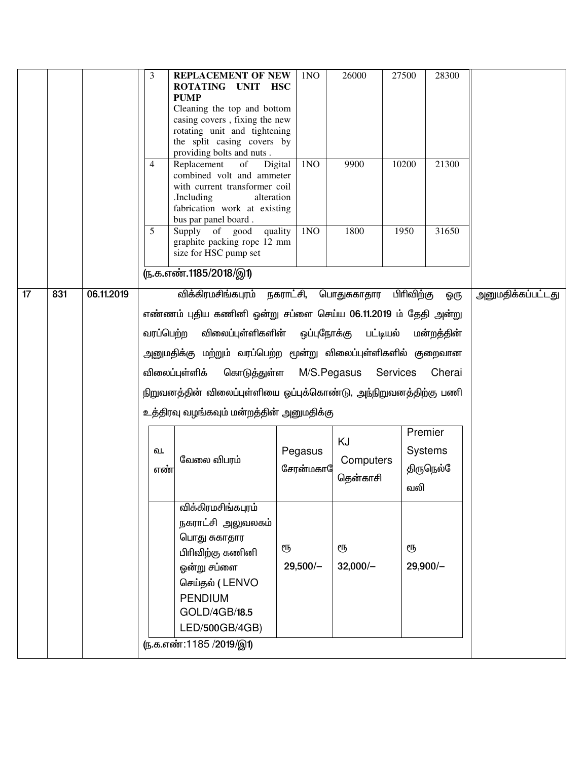|    |     |            | <b>REPLACEMENT OF NEW</b><br>3<br>ROTATING UNIT HSC<br><b>PUMP</b><br>Cleaning the top and bottom<br>casing covers, fixing the new<br>rotating unit and tightening<br>the split casing covers by<br>providing bolts and nuts.<br>Replacement<br>of<br>4<br>combined volt and ammeter<br>with current transformer coil<br>.Including<br>fabrication work at existing<br>bus par panel board. | 1NO<br>1 <sub>N</sub><br>Digital<br>alteration                                                                                                                                                                                                                                                                                                          | 26000<br>9900               | 28300<br>27500<br>10200<br>21300      |                          |  |  |  |  |
|----|-----|------------|---------------------------------------------------------------------------------------------------------------------------------------------------------------------------------------------------------------------------------------------------------------------------------------------------------------------------------------------------------------------------------------------|---------------------------------------------------------------------------------------------------------------------------------------------------------------------------------------------------------------------------------------------------------------------------------------------------------------------------------------------------------|-----------------------------|---------------------------------------|--------------------------|--|--|--|--|
|    |     |            | 5<br>Supply of good quality<br>graphite packing rope 12 mm<br>size for HSC pump set<br>ரு.க.எண்.1185/2018/இ1)                                                                                                                                                                                                                                                                               | 1 <sub>N</sub>                                                                                                                                                                                                                                                                                                                                          | 1800                        | 1950<br>31650                         |                          |  |  |  |  |
| 17 | 831 | 06.11.2019 | விக்கிரமசிங்கபுரம் நகராட்சி, பொதுசுகாதார பிரிவிற்கு                                                                                                                                                                                                                                                                                                                                         |                                                                                                                                                                                                                                                                                                                                                         |                             | ஓரு                                   | <u>அனுமதிக்கப்பட்டது</u> |  |  |  |  |
|    |     |            | வரப்பெற்ற<br>விலைப்புள்ளிக்                                                                                                                                                                                                                                                                                                                                                                 | எண்ணம் புதிய கணினி ஒன்று சப்ளை செய்ய 06.11.2019 ம் தேதி அன்று<br>விலைப்புள்ளிகளின் ஒப்புநோக்கு பட்டியல்<br>மன்றத்தின்<br>அனுமதிக்கு மற்றும் வரப்பெற்ற மூன்று விலைப்புள்ளிகளில் குறைவான<br>கொடுத்துள்ள<br>M/S.Pegasus Services<br>Cherai<br>நிறுவனத்தின் விலைப்புள்ளியை ஒப்புக்கொண்டு, அந்நிறுவனத்திற்கு பணி<br>உத்திரவு வழங்கவும் மன்றத்தின் அனுமதிக்கு |                             |                                       |                          |  |  |  |  |
|    |     |            | வ.<br>வேலை விபரம்<br>எண்                                                                                                                                                                                                                                                                                                                                                                    | Pegasus<br>சேரன்மகா                                                                                                                                                                                                                                                                                                                                     | KJ<br>Computers<br>தென்காசி | Premier<br>Systems<br>திருநெல்<br>வலி |                          |  |  |  |  |
|    |     |            | விக்கிரமசிங்கபுரம்<br>நகராட்சி அலுவலகம்<br>பொது சுகாதார<br>பிரிவிற்கு கணினி<br>ஒன்று சப்ளை<br>செய்தல் (LENVO<br><b>PENDIUM</b><br>GOLD/4GB/18.5<br>LED/500GB/4GB)<br>(ந.க.எண்:1185 /2019/இ1)                                                                                                                                                                                                | ரூ<br>$29,500/-$                                                                                                                                                                                                                                                                                                                                        | ரூ<br>$32,000/-$            | ரூ<br>$29,900/-$                      |                          |  |  |  |  |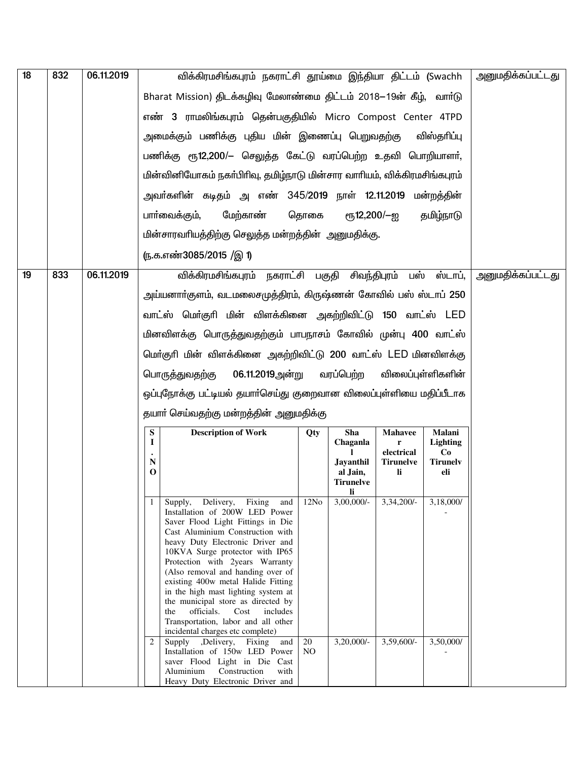| 18 | 832 | 06.11.2019 |                       | விக்கிரமசிங்கபுரம் நகராட்சி தூய்மை இந்தியா திட்டம் (Swachh                                                                                                                                                                                                                                                                                                                                                                                                                                                                                                                                                                 |                              | அனுமதிக்கப்பட்டது                  |                                |                           |  |
|----|-----|------------|-----------------------|----------------------------------------------------------------------------------------------------------------------------------------------------------------------------------------------------------------------------------------------------------------------------------------------------------------------------------------------------------------------------------------------------------------------------------------------------------------------------------------------------------------------------------------------------------------------------------------------------------------------------|------------------------------|------------------------------------|--------------------------------|---------------------------|--|
|    |     |            |                       | Bharat Mission) திடக்கழிவு மேலாண்மை திட்டம் 2018–19ன் கீழ், வார்டு                                                                                                                                                                                                                                                                                                                                                                                                                                                                                                                                                         |                              |                                    |                                |                           |  |
|    |     |            |                       | எண் 3 ராமலிங்கபுரம் தென்பகுதியில் Micro Compost Center 4TPD                                                                                                                                                                                                                                                                                                                                                                                                                                                                                                                                                                |                              |                                    |                                |                           |  |
|    |     |            |                       | அமைக்கும் பணிக்கு புதிய மின் இணைப்பு பெறுவதற்கு                                                                                                                                                                                                                                                                                                                                                                                                                                                                                                                                                                            |                              |                                    |                                |                           |  |
|    |     |            |                       | பணிக்கு ரூ12,200/– செலுத்த கேட்டு வரப்பெற்ற உதவி பொறியாளா்,                                                                                                                                                                                                                                                                                                                                                                                                                                                                                                                                                                |                              |                                    |                                |                           |  |
|    |     |            |                       | மின்வினியோகம் நகா்பிரிவு, தமிழ்நாடு மின்சார வாாியம், விக்கிரமசிங்கபுரம்                                                                                                                                                                                                                                                                                                                                                                                                                                                                                                                                                    |                              |                                    |                                |                           |  |
|    |     |            |                       | அவா்களின் கடிதம் அ எண் 345/2019 நாள் 12.11.2019 மன்றத்தின்                                                                                                                                                                                                                                                                                                                                                                                                                                                                                                                                                                 |                              |                                    |                                |                           |  |
|    |     |            | பாா்வைக்கும்,         | மேற்காண்                                                                                                                                                                                                                                                                                                                                                                                                                                                                                                                                                                                                                   | தொகை                         | ரூ12,200/—ஐ                        |                                | தமிழ்நாடு                 |  |
|    |     |            |                       | மின்சாரவரியத்திற்கு செலுத்த மன்றத்தின் அனுமதிக்கு.                                                                                                                                                                                                                                                                                                                                                                                                                                                                                                                                                                         |                              |                                    |                                |                           |  |
|    |     |            |                       | ரு.க.எண்3085/2015 /இ 1)                                                                                                                                                                                                                                                                                                                                                                                                                                                                                                                                                                                                    |                              |                                    |                                |                           |  |
| 19 | 833 | 06.11.2019 |                       | விக்கிரமசிங்கபுரம் நகராட்சி பகுதி சிவந்திபுரம் பஸ் ஸ்டாப்,                                                                                                                                                                                                                                                                                                                                                                                                                                                                                                                                                                 |                              | அனுமதிக்கப்பட்டது                  |                                |                           |  |
|    |     |            |                       | அய்யனாா்குளம், வடமலைசமுத்திரம், கிருஷ்ணன் கோவில் பஸ் ஸ்டாப் 250                                                                                                                                                                                                                                                                                                                                                                                                                                                                                                                                                            |                              |                                    |                                |                           |  |
|    |     |            |                       | வாட்ஸ் மொ்குாி மின் விளக்கினை அகற்றிவிட்டு 150 வாட்ஸ் LED                                                                                                                                                                                                                                                                                                                                                                                                                                                                                                                                                                  |                              |                                    |                                |                           |  |
|    |     |            |                       | மினவிளக்கு பொருத்துவதற்கும் பாபநாசம் கோவில் முன்பு 400 வாட்ஸ்                                                                                                                                                                                                                                                                                                                                                                                                                                                                                                                                                              |                              |                                    |                                |                           |  |
|    |     |            |                       | மொ்குரி மின் விளக்கினை அகற்றிவிட்டு 200 வாட்ஸ் LED மினவிளக்கு                                                                                                                                                                                                                                                                                                                                                                                                                                                                                                                                                              |                              |                                    |                                |                           |  |
|    |     |            |                       | 06.11.2019அன்று<br>பொருத்துவதற்கு                                                                                                                                                                                                                                                                                                                                                                                                                                                                                                                                                                                          | விலைப்புள்ளிகளின்            |                                    |                                |                           |  |
|    |     |            |                       | ஒப்புநோக்கு பட்டியல் தயாா்செய்து குறைவான விலைப்புள்ளியை மதிப்பீடாக                                                                                                                                                                                                                                                                                                                                                                                                                                                                                                                                                         |                              |                                    |                                |                           |  |
|    |     |            |                       | தயாா் செய்வதற்கு மன்றத்தின் அனுமதிக்கு                                                                                                                                                                                                                                                                                                                                                                                                                                                                                                                                                                                     |                              |                                    |                                |                           |  |
|    |     |            | ${\bf S}$<br><b>I</b> | <b>Description of Work</b>                                                                                                                                                                                                                                                                                                                                                                                                                                                                                                                                                                                                 | Qty                          | Sha<br>Chaganla                    | Mahavee<br>r                   | Malani<br><b>Lighting</b> |  |
|    |     |            | ${\bf N}$             |                                                                                                                                                                                                                                                                                                                                                                                                                                                                                                                                                                                                                            |                              | <b>Jayanthil</b>                   | electrical<br><b>Tirunelve</b> | Co<br><b>Tirunelv</b>     |  |
|    |     |            | $\bf{0}$              |                                                                                                                                                                                                                                                                                                                                                                                                                                                                                                                                                                                                                            |                              | al Jain,<br><b>Tirunelve</b><br>li | li.                            | eli                       |  |
|    |     |            | 1<br>the<br>2         | Supply, Delivery, Fixing and<br>Installation of 200W LED Power<br>Saver Flood Light Fittings in Die<br>Cast Aluminium Construction with<br>heavy Duty Electronic Driver and<br>10KVA Surge protector with IP65<br>Protection with 2years Warranty<br>(Also removal and handing over of<br>existing 400w metal Halide Fitting<br>in the high mast lighting system at<br>the municipal store as directed by<br>officials.<br>Cost<br>includes<br>Transportation, labor and all other<br>incidental charges etc complete)<br>Supply , Delivery, Fixing and<br>Installation of 150w LED Power<br>saver Flood Light in Die Cast | 12No<br>20<br>N <sub>O</sub> | $3,00,000/$ -<br>3,20,000/-        | 3,34,200/-<br>3,59,600/-       | 3,18,000/<br>3,50,000/    |  |
|    |     |            |                       | Aluminium<br>Construction<br>with<br>Heavy Duty Electronic Driver and                                                                                                                                                                                                                                                                                                                                                                                                                                                                                                                                                      |                              |                                    |                                |                           |  |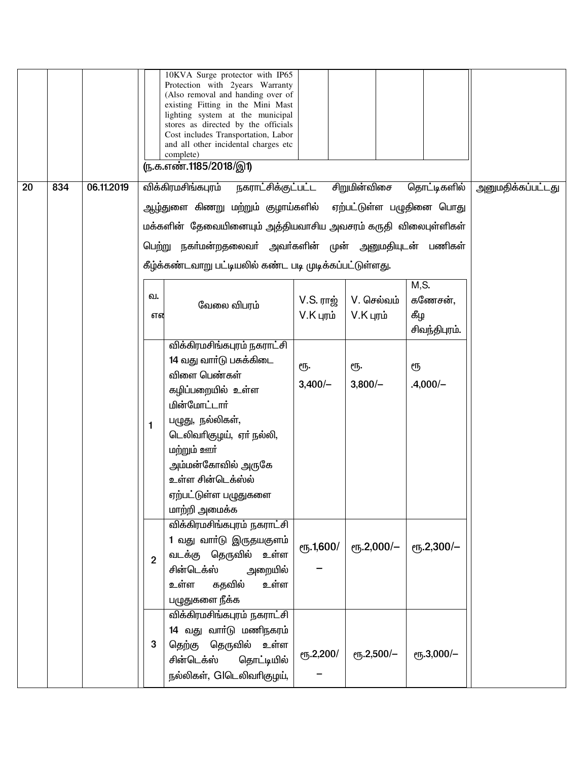|    |     |            |                | 10KVA Surge protector with IP65<br>Protection with 2years Warranty<br>(Also removal and handing over of<br>existing Fitting in the Mini Mast<br>lighting system at the municipal<br>stores as directed by the officials<br>Cost includes Transportation, Labor<br>and all other incidental charges etc<br>complete)<br>(ந.க.எண்.1185/2018/இ1) |                            |                           |                                          |  |
|----|-----|------------|----------------|-----------------------------------------------------------------------------------------------------------------------------------------------------------------------------------------------------------------------------------------------------------------------------------------------------------------------------------------------|----------------------------|---------------------------|------------------------------------------|--|
| 20 | 834 | 06.11.2019 |                | விக்கிரமசிங்கபுரம்<br>நகராட்சிக்குட்பட்ட சிறுமின்விசை                                                                                                                                                                                                                                                                                         | தொட்டிகளில்                | அனுமதிக்கப்பட்டது         |                                          |  |
|    |     |            |                | ஆழ்துளை கிணறு மற்றும் குழாய்களில் ஏற்பட்டுள்ள பழுதினை பொது                                                                                                                                                                                                                                                                                    |                            |                           |                                          |  |
|    |     |            |                | மக்களின்  தேவையினையும் அத்தியவாசிய அவசரம் கருதி  விலைபுள்ளிகள்                                                                                                                                                                                                                                                                                |                            |                           |                                          |  |
|    |     |            |                | பெற்று நகா்மன்றதலைவா் அவா்களின் முன் அனுமதியுடன் பணிகள்                                                                                                                                                                                                                                                                                       |                            |                           |                                          |  |
|    |     |            |                | கீழ்க்கண்டவாறு பட்டியலில் கண்ட படி முடிக்கப்பட்டுள்ளது.                                                                                                                                                                                                                                                                                       |                            |                           |                                          |  |
|    |     |            | வ.<br>என       | வேலை விபரம்                                                                                                                                                                                                                                                                                                                                   | $V.S.$ ராஜ்<br>$V.K$ புரம் | V. செல்வம்<br>$V.K$ புரம் | M, S.<br>கணேசன்,<br>கீழ<br>சிவந்திபுரம். |  |
|    |     |            | 1              | விக்கிரமசிங்கபுரம் நகராட்சி<br>14 வது வார்டு பசுக்கிடை<br>விளை பெண்கள்<br>கழிப்பறையில் உள்ள<br><u>மின்மோட்டார்</u><br>பழுது, நல்லிகள்,<br>டெலிவாிகுழய், ஏா் நல்லி,<br><u>மற்றும் ஊர்</u><br>அம்மன்கோவில் அருகே<br>உள்ள சின்டெக்ஸ்ல்                                                                                                           | ரூ.<br>$3,400/-$           | ரூ.<br>$3,800/-$          | ரூ<br>$.4,000/-$                         |  |
|    |     |            | $\overline{2}$ | ஏற்பட்டுள்ள பழுதுகளை<br>மாற்றி அமைக்க<br><u>விக்கிரமசிங்கபுரம் நகராட்சி</u><br>1 வது வாா்டு இருதயகுளம்<br>வடக்கு தெருவில் உள்ள<br>சின்டெக்ஸ்<br>அறையில்<br>உள்ள<br>கதவில்<br>உள்ள<br>பழுதுகளை நீக்க<br>விக்கிரமசிங்கபுரம் நகராட்சி<br>14 வது வாா்டு மணிநகரம்                                                                                  | ரூ.1,600/                  | ரூ.2,000/-                | ரூ.2,300/-                               |  |
|    |     |            | 3              | தெற்கு தெருவில் உள்ள<br>சின்டெக்ஸ்<br>தொட்டியில்<br>நல்லிகள், Glடெலிவரிகுழய்,                                                                                                                                                                                                                                                                 | ரூ.2,200/                  | ரூ.2,500/-                | ரூ.3,000/-                               |  |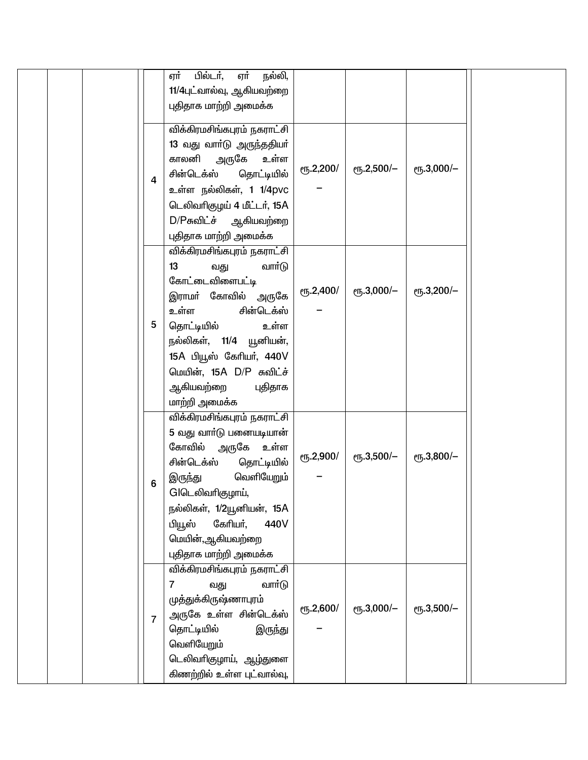|  |                | பில்டர்,<br>ஏர்<br>நல்லி,<br>ஏர்               |           |                 |                    |  |
|--|----------------|------------------------------------------------|-----------|-----------------|--------------------|--|
|  |                | 11/4புட்வால்வு, ஆகியவற்றை                      |           |                 |                    |  |
|  |                | புதிதாக மாற்றி அமைக்க                          |           |                 |                    |  |
|  |                | விக்கிரமசிங்கபுரம் நகராட்சி                    |           |                 |                    |  |
|  |                | 13 வது வார்டு அருந்ததியர்                      |           |                 |                    |  |
|  |                | காலனி<br>அருகே<br>உள்ள                         | ரூ.2,200/ | $e$ гу. 2,500/- | еҧ.3,000/-         |  |
|  | $\overline{4}$ | தொட்டியில்<br>சின்டெக்ஸ்                       |           |                 |                    |  |
|  |                | உள்ள நல்லிகள், 1 1/4pvc                        |           |                 |                    |  |
|  |                | டெலிவரிகுழய் 4 மீட்டர், 15A                    |           |                 |                    |  |
|  |                | D/Pசுவிட்ச் ஆகியவற்றை<br>புதிதாக மாற்றி அமைக்க |           |                 |                    |  |
|  |                | விக்கிரமசிங்கபுரம் நகராட்சி                    |           |                 |                    |  |
|  |                | வார்டு<br>13<br>வது                            |           |                 |                    |  |
|  |                | கோட்டைவிளைபட்டி                                |           |                 |                    |  |
|  |                | இராமா் கோவில் அருகே                            | ரூ.2,400/ | ரூ.3,000/-      | <b>е</b> ҧ.3,200/- |  |
|  |                | உள்ள<br>சின்டெக்ஸ்                             |           |                 |                    |  |
|  | 5              | தொட்டியில்<br>உள்ள                             |           |                 |                    |  |
|  |                | நல்லிகள், 11/4 யூனியன்,                        |           |                 |                    |  |
|  |                | 15A பியூஸ் கேரியர், 440V                       |           |                 |                    |  |
|  |                | மெயின், 15A D/P சுவிட்ச்                       |           |                 |                    |  |
|  |                | ஆகியவற்றை<br>புதிதாக                           |           |                 |                    |  |
|  |                | மாற்றி அமைக்க<br>விக்கிரமசிங்கபுரம் நகராட்சி   |           |                 |                    |  |
|  |                | 5 வது வார்டு பனையடியான்                        |           |                 |                    |  |
|  |                | கோவில்<br>அருகே<br>உள்ள                        |           |                 |                    |  |
|  |                | சின்டெக்ஸ்<br>தொட்டியில்                       | ரூ.2,900/ | ரூ.3,500/-      | еҧ.3,800/-         |  |
|  | 6              | வெளியேறும்<br>இருந்து                          |           |                 |                    |  |
|  |                | GIடெலிவரிகுழாய்,                               |           |                 |                    |  |
|  |                | நல்லிகள், 1/2யூனியன், 15A                      |           |                 |                    |  |
|  |                | பியூஸ்<br>கேரியர்,<br>440V                     |           |                 |                    |  |
|  |                | மெயின்,ஆகியவற்றை                               |           |                 |                    |  |
|  |                | புதிதாக மாற்றி அமைக்க                          |           |                 |                    |  |
|  |                | விக்கிரமசிங்கபுரம் நகராட்சி                    |           |                 |                    |  |
|  |                | வார்டு<br>7<br>வது<br>முத்துக்கிருஷ்ணாபுரம்    |           |                 |                    |  |
|  |                | அருகே உள்ள சின்டெக்ஸ்                          | ரூ.2,600/ | ரூ.3,000/-      | ет5.3,500/-        |  |
|  | $\overline{7}$ | தொட்டியில்<br>இருந்து                          |           |                 |                    |  |
|  |                | வெளியேறும்                                     |           |                 |                    |  |
|  |                | டெலிவாிகுழாய், ஆழ்துளை                         |           |                 |                    |  |
|  |                | கிணற்றில் உள்ள புட்வால்வு,                     |           |                 |                    |  |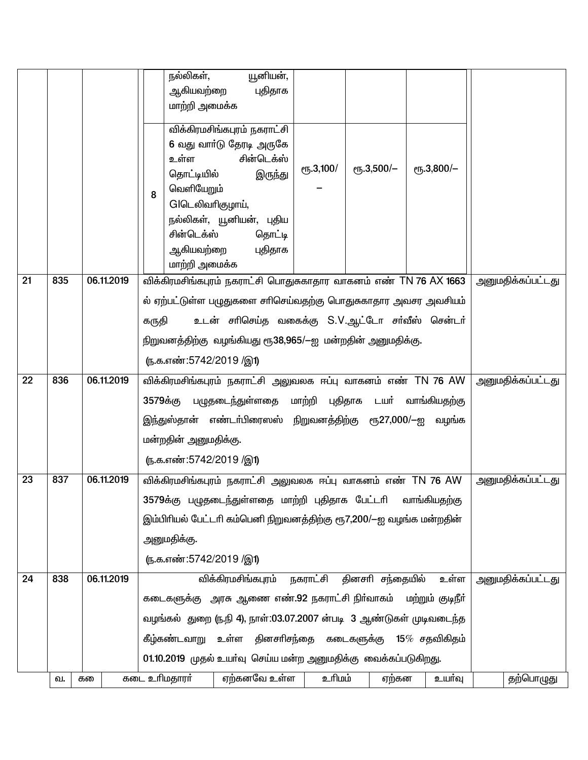|                 |     |            | யூனியன்,<br>நல்லிகள்,                                                                   |                          |
|-----------------|-----|------------|-----------------------------------------------------------------------------------------|--------------------------|
|                 |     |            | ஆகியவற்றை<br>புதிதாக<br>மாற்றி அமைக்க                                                   |                          |
|                 |     |            |                                                                                         |                          |
|                 |     |            | விக்கிரமசிங்கபுரம் நகராட்சி                                                             |                          |
|                 |     |            | 6 வது வார்டு தேரடி அருகே<br>சின்டெக்ஸ்<br>உள்ள                                          |                          |
|                 |     |            | еҧ.3,800/-<br>$\rm (70, 3, 500/-$<br>$e$ <sup>1</sup> , 3,100/<br>தொட்டியில்<br>இருந்து |                          |
|                 |     |            | வெளியேறும்<br>8                                                                         |                          |
|                 |     |            | GIடெலிவரிகுழாய்,                                                                        |                          |
|                 |     |            | நல்லிகள், யூனியன், புதிய                                                                |                          |
|                 |     |            | சின்டெக்ஸ்<br>தொட்டி                                                                    |                          |
|                 |     |            | ஆகியவற்றை<br>புதிதாக<br>மாற்றி அமைக்க                                                   |                          |
| $\overline{21}$ | 835 | 06.11.2019 | விக்கிரமசிங்கபுரம் நகராட்சி பொதுசுகாதார வாகனம் எண் TN 76 AX 1663                        | <u>அனுமதிக்கப்பட்டது</u> |
|                 |     |            | ல் ஏற்பட்டுள்ள பழுதுகளை சாிசெய்வதற்கு பொதுசுகாதார அவசர அவசியம்                          |                          |
|                 |     |            | உடன் சாிசெய்த வகைக்கு S.V.ஆட்டோ சா்வீஸ் சென்டா்<br>கருதி                                |                          |
|                 |     |            |                                                                                         |                          |
|                 |     |            | நிறுவனத்திற்கு வழங்கியது ரூ38,965/—ஐ மன்றதின் அனுமதிக்கு.                               |                          |
|                 |     |            | (ந.க.எண்:5742/2019 /இ1)                                                                 |                          |
| 22              | 836 | 06.11.2019 | விக்கிரமசிங்கபுரம் நகராட்சி அலுவலக ஈப்பு வாகனம் எண் TN 76 AW                            | <u>அனுமதிக்கப்பட்டது</u> |
|                 |     |            | 3579க்கு பழுதடைந்துள்ளதை மாற்றி புதிதாக டயா் வாங்கியதற்கு                               |                          |
|                 |     |            | இந்துஸ்தான் எண்டா்பிரைஸஸ் நிறுவனத்திற்கு ரூ27,000/—ஐ வழங்க                              |                          |
|                 |     |            | மன்றதின் அனுமதிக்கு.                                                                    |                          |
|                 |     |            | (ந.க.எண்:5742/2019 /இ1)                                                                 |                          |
| 23              | 837 | 06.11.2019 | விக்கிரமசிங்கபுரம் நகராட்சி அலுவலக ஈப்பு வாகனம் எண் TN 76 AW                            | <u>அனுமதிக்கப்பட்டது</u> |
|                 |     |            | 3579க்கு பழுதடைந்துள்ளதை மாற்றி புதிதாக பேட்டாி வாங்கியதற்கு                            |                          |
|                 |     |            | இம்பிரியல் பேட்டரி கம்பெனி நிறுவனத்திற்கு ரூ7,200/—ஐ வழங்க மன்றதின்                     |                          |
|                 |     |            | அனுமதிக்கு.                                                                             |                          |
|                 |     |            | (ந.க.எண்:5742/2019 /இ1)                                                                 |                          |
| 24              | 838 | 06.11.2019 | தினசரி சந்தையில்<br>விக்கிரமசிங்கபுரம்<br>நகராட்சி<br>உள்ள                              | அனுமதிக்கப்பட்டது        |
|                 |     |            | கடைகளுக்கு அரசு ஆணை எண்.92 நகராட்சி நிர்வாகம் மற்றும் குடிநீர்                          |                          |
|                 |     |            | வழங்கல் துறை (ந.நி 4), நாள்:03.07.2007 ன்படி 3 ஆண்டுகள் முடிவடைந்த                      |                          |
|                 |     |            | தினசாிசந்தை கடைகளுக்கு 15 $%$ சதவிகிதம்<br>கீழ்கண்டவாறு உள்ள                            |                          |
|                 |     |            | 01.10.2019 முதல் உயா்வு செய்ய மன்ற அனுமதிக்கு வைக்கப்படுகிறது.                          |                          |
|                 | வ.  | கல         | கடை உரிமதாரா்<br>ஏற்கனவே உள்ள<br>உரிமம்<br>ஏற்கன<br>உயர்வு                              | தற்பொழுது                |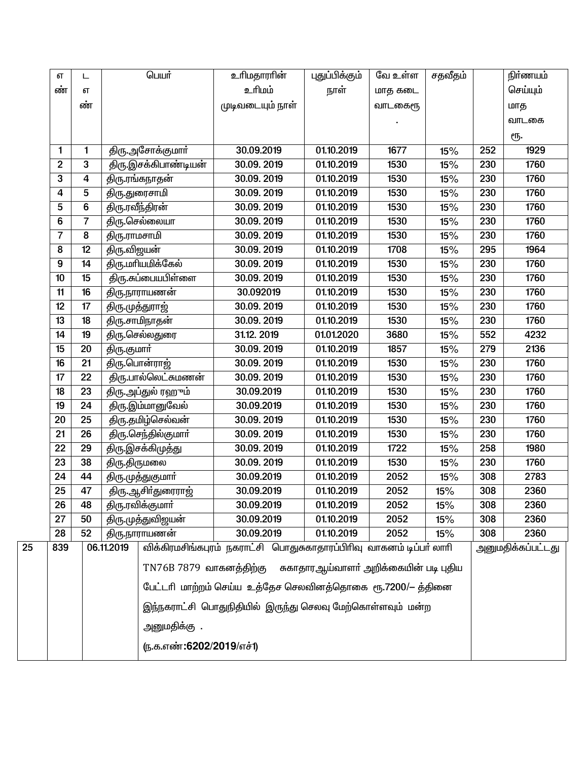|    | எ              | ┕  |              | பெயர்                      | உரிமதாரரின்                                                         | புதுப்பிக்கும்                        | வே உள்ள | சதவீதம் |     | நிர்ணயம்          |
|----|----------------|----|--------------|----------------------------|---------------------------------------------------------------------|---------------------------------------|---------|---------|-----|-------------------|
|    | ண்             | எ  |              |                            | உரிமம்                                                              | நாள்                                  | மாத கடை |         |     | செய்யும்          |
|    |                | ண் |              |                            | முடிவடையும் நாள்                                                    |                                       | வாடகைரூ |         |     | மாத               |
|    |                |    |              |                            |                                                                     |                                       |         |         |     | வாடகை             |
|    |                |    |              |                            |                                                                     |                                       |         |         |     | ரூ.               |
|    | 1              | 1  |              | திரு.அசோக்குமார்           | 30.09.2019                                                          | 01.10.2019                            | 1677    | 15%     | 252 | 1929              |
|    | $\overline{2}$ | 3  |              | திரு.இசக்கிபாண்டியன்       | 30.09.2019                                                          | 01.10.2019                            | 1530    | 15%     | 230 | 1760              |
|    | 3              | 4  |              | திரு.ரங்கநாதன்             | 30.09.2019                                                          | 01.10.2019                            | 1530    | 15%     | 230 | 1760              |
|    | $\overline{4}$ | 5  |              | திரு.துரைசாமி              | 30.09.2019                                                          | 01.10.2019                            | 1530    | 15%     | 230 | 1760              |
|    | 5              | 6  |              | திரு.ரவீந்திரன்            | 30.09.2019                                                          | 01.10.2019                            | 1530    | 15%     | 230 | 1760              |
|    | 6              | 7  |              | திரு செல்லையா              | 30.09.2019                                                          | $\overline{01.10.2019}$               | 1530    | 15%     | 230 | 1760              |
|    | $\overline{7}$ | 8  | திரு.ராமசாமி |                            | 30.09.2019                                                          | 01.10.2019                            | 1530    | 15%     | 230 | 1760              |
|    | 8              | 12 | திரு.விஜயன்  |                            | 30.09.2019                                                          | 01.10.2019                            | 1708    | 15%     | 295 | 1964              |
|    | 9              | 14 |              | திரு.மரியமிக்கேல்          | 30.09.2019                                                          | $\overline{01.10.2019}$               | 1530    | 15%     | 230 | 1760              |
|    | 10             | 15 |              | திரு.சுப்பையபிள்ளை         | 30.09.2019                                                          | 01.10.2019                            | 1530    | 15%     | 230 | 1760              |
|    | 11             | 16 |              | திரு.நாராயணன்              | 30.092019                                                           | 01.10.2019                            | 1530    | 15%     | 230 | 1760              |
|    | 12             | 17 |              | திரு முத்துராஜ்            | 30.09.2019                                                          | 01.10.2019                            | 1530    | 15%     | 230 | 1760              |
|    | 13             | 18 |              | திரு.சாமிநாதன்             | 30.09.2019                                                          | 01.10.2019                            | 1530    | 15%     | 230 | 1760              |
|    | 14             | 19 |              | திரு.செல்லதுரை             | 31.12.2019                                                          | 01.01.2020                            | 3680    | 15%     | 552 | 4232              |
|    | 15             | 20 | திரு.குமார்  |                            | 30.09.2019                                                          | 01.10.2019                            | 1857    | 15%     | 279 | 2136              |
|    | 16             | 21 |              | <u>திரு.பொன்ராஜ்</u>       | 30.09.2019                                                          | 01.10.2019                            | 1530    | 15%     | 230 | 1760              |
|    | 17             | 22 |              | <u>திரு.பால்லெட்சுமணன்</u> | 30.09.2019                                                          | 01.10.2019                            | 1530    | 15%     | 230 | 1760              |
|    | 18             | 23 |              | திரு.அப்துல் ரஹும்         | 30.09.2019                                                          | 01.10.2019                            | 1530    | 15%     | 230 | 1760              |
|    | 19             | 24 |              | திரு.இம்மானுவேல்           | 30.09.2019                                                          | $\overline{01.10.2019}$               | 1530    | 15%     | 230 | 1760              |
|    | 20             | 25 |              | திரு.தமிழ்செல்வன்          | 30.09.2019                                                          | 01.10.2019                            | 1530    | 15%     | 230 | 1760              |
|    | 21             | 26 |              | திரு.செந்தில்குமார்        | 30.09.2019                                                          | 01.10.2019                            | 1530    | 15%     | 230 | 1760              |
|    | 22             | 29 |              | திரு.இசக்கிமுத்து          | 30.09.2019                                                          | 01.10.2019                            | 1722    | 15%     | 258 | 1980              |
|    | 23             | 38 | திரு.திருமலை |                            | 30.09.2019                                                          | 01.10.2019                            | 1530    | 15%     | 230 | 1760              |
|    | 24             | 44 |              | திரு.முத்துகுமார்          | 30.09.2019                                                          | 01.10.2019                            | 2052    | 15%     | 308 | 2783              |
|    | 25             | 47 |              | திரு.ஆசிர்துரைராஜ்         | 30.09.2019                                                          | 01.10.2019                            | 2052    | 15%     | 308 | 2360              |
|    | 26             | 48 |              | திரு.ரவிக்குமார்           | 30.09.2019                                                          | 01.10.2019                            | 2052    | 15%     | 308 | 2360              |
|    | 27             | 50 |              | திரு.முத்துவிஜயன்          | 30.09.2019                                                          | 01.10.2019                            | 2052    | 15%     | 308 | 2360              |
|    | 28             | 52 |              | திரு.நாராயணன்              | 30.09.2019                                                          | 01.10.2019                            | 2052    | 15%     | 308 | 2360              |
| 25 | 839            |    | 06.11.2019   |                            | விக்கிரமசிங்கபுரம் நகராட்சி பொதுசுகாதாரப்பிரிவு வாகனம் டிப்பா் லாாி |                                       |         |         |     | அனுமதிக்கப்பட்டது |
|    |                |    |              | $TN76B7879$ வாகனத்திற்கு   |                                                                     | சுகாதாரஆய்வாளா் அறிக்கையின் படி புதிய |         |         |     |                   |
|    |                |    |              |                            |                                                                     |                                       |         |         |     |                   |
|    |                |    |              |                            | பேட்டரி மாற்றம் செய்ய உத்தேச செலவினத்தொகை ரூ.7200/— த்தினை          |                                       |         |         |     |                   |
|    |                |    |              |                            | இந்நகராட்சி பொதுநிதியில் இருந்து செலவு மேற்கொள்ளவும் மன்ற           |                                       |         |         |     |                   |
|    |                |    |              | அனுமதிக்கு.                |                                                                     |                                       |         |         |     |                   |
|    |                |    |              | (ந.க.எண்:6202/2019/எச்1)   |                                                                     |                                       |         |         |     |                   |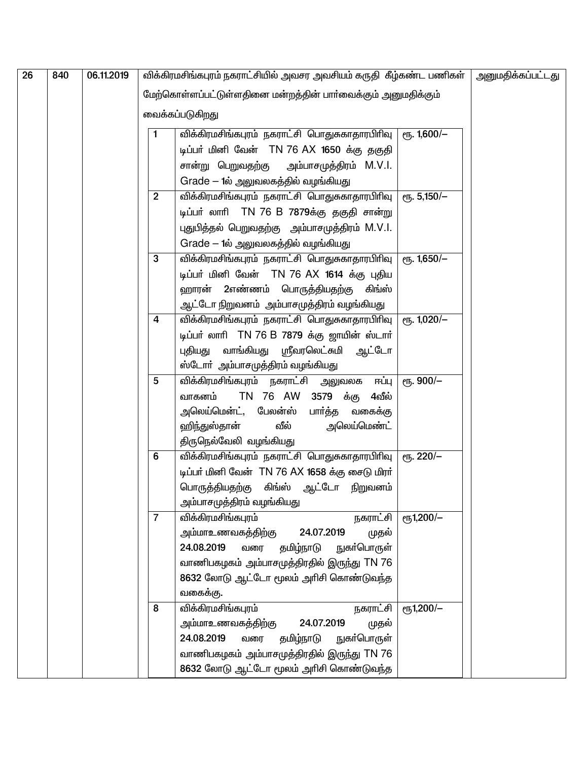| 26 | 840 | 06.11.2019 |                         | விக்கிரமசிங்கபுரம் நகராட்சியில் அவசர அவசியம் கருதி  கீழ்கண்ட பணிகள் |                 | அனுமதிக்கப்பட்டது |
|----|-----|------------|-------------------------|---------------------------------------------------------------------|-----------------|-------------------|
|    |     |            |                         | மேற்கொள்ளப்பட்டுள்ளதினை மன்றத்தின் பார்வைக்கும் அனுமதிக்கும்        |                 |                   |
|    |     |            |                         | வைக்கப்படுகிறது                                                     |                 |                   |
|    |     |            |                         |                                                                     |                 |                   |
|    |     |            |                         | விக்கிரமசிங்கபுரம் நகராட்சி பொதுசுகாதாரபிரிவு   ரூ. 1,600/—         |                 |                   |
|    |     |            |                         | டிப்பர் மினி வேன் TN 76 AX 1650 க்கு தகுதி                          |                 |                   |
|    |     |            |                         | சான்று பெறுவதற்கு அம்பாசமுத்திரம் M.V.I.                            |                 |                   |
|    |     |            |                         | Grade – 1ல் அலுவலகத்தில் வழங்கியது                                  |                 |                   |
|    |     |            | $\overline{2}$          | விக்கிரமசிங்கபுரம் நகராட்சி பொதுசுகாதாரபிரிவு   ரூ. 5,150/—         |                 |                   |
|    |     |            |                         | டிப்பர் லாரி TN 76 B 7879க்கு தகுதி சான்று                          |                 |                   |
|    |     |            |                         | புதுபித்தல் பெறுவதற்கு அம்பாசமுத்திரம் M.V.I.                       |                 |                   |
|    |     |            |                         | Grade – 1ல் அலுவலகத்தில் வழங்கியது                                  |                 |                   |
|    |     |            | 3                       | விக்கிரமசிங்கபுரம் நகராட்சி பொதுசுகாதாரபிரிவு                       | $e$ гу. 1,650/- |                   |
|    |     |            |                         | டிப்பர் மினி வேன் TN 76 AX 1614 க்கு புதிய                          |                 |                   |
|    |     |            |                         | ஹாரன் 2எண்ணம் பொருத்தியதற்கு<br>கிங்ஸ்                              |                 |                   |
|    |     |            |                         | ஆட்டோ நிறுவனம்  அம்பாசமுத்திரம் வழங்கியது                           |                 |                   |
|    |     |            | $\overline{\mathbf{4}}$ | விக்கிரமசிங்கபுரம் நகராட்சி பொதுசுகாதாரபிரிவு                       |                 |                   |
|    |     |            |                         | டிப்பர் லாரி TN 76 B 7879 க்கு ஜாயின் ஸ்டார்                        |                 |                   |
|    |     |            |                         | புதியது வாங்கியது ஸ்ரீவரலெட்சுமி ஆட்டோ                              |                 |                   |
|    |     |            |                         | ஸ்டோர் அம்பாசமுத்திரம் வழங்கியது                                    |                 |                   |
|    |     |            | 5                       | விக்கிரமசிங்கபுரம் நகராட்சி அலுவலக ஈப்பு                            | ரூ. 900/-       |                   |
|    |     |            |                         | TN 76 AW 3579 க்கு<br>வாகனம்<br>4வீல்                               |                 |                   |
|    |     |            |                         | அலெய்மென்ட், பேலன்ஸ்<br>பார்த்த<br>வகைக்கு                          |                 |                   |
|    |     |            |                         | வீல்<br>அலெய்மெண்ட்<br>ஹிந்துஸ்தான்                                 |                 |                   |
|    |     |            |                         | திருநெல்வேலி வழங்கியது                                              |                 |                   |
|    |     |            | 6                       | விக்கிரமசிங்கபுரம் நகராட்சி பொதுசுகாதாரபிரிவு   ரூ. 220/ $-$        |                 |                   |
|    |     |            |                         | டிப்பர் மினி வேன் TN 76 AX 1658 க்கு சைடு மிரர்                     |                 |                   |
|    |     |            |                         | பொருத்தியதற்கு கிங்ஸ் ஆட்டோ நிறுவனம்                                |                 |                   |
|    |     |            |                         | அம்பாசமுத்திரம் வழங்கியது                                           |                 |                   |
|    |     |            | $\overline{7}$          | விக்கிரமசிங்கபுரம்<br>நகராட்சி                                      | ரூ1,200/-       |                   |
|    |     |            |                         | அம்மாஉணவகத்திற்கு<br>24.07.2019<br>முதல்                            |                 |                   |
|    |     |            |                         | 24.08.2019<br>தமிழ்நாடு<br>நுகா்பொருள்<br>வரை                       |                 |                   |
|    |     |            |                         | வாணிபகழகம் அம்பாசமுத்திரதில் இருந்து TN 76                          |                 |                   |
|    |     |            |                         | 8632 லோடு ஆட்டோ மூலம் அரிசி கொண்டுவந்த                              |                 |                   |
|    |     |            |                         | வகைக்கு.                                                            |                 |                   |
|    |     |            | 8                       | விக்கிரமசிங்கபுரம்<br>நகராட்சி                                      | еҧ1,200/-       |                   |
|    |     |            |                         | 24.07.2019<br>அம்மாஉணவகத்திற்கு<br>முதல்                            |                 |                   |
|    |     |            |                         | 24.08.2019<br>தமிழ்நாடு<br>நுகா்பொருள்<br>வரை                       |                 |                   |
|    |     |            |                         | வாணிபகழகம் அம்பாசமுத்திரதில் இருந்து TN 76                          |                 |                   |
|    |     |            |                         | 8632 லோடு ஆட்டோ மூலம் அரிசி கொண்டுவந்த                              |                 |                   |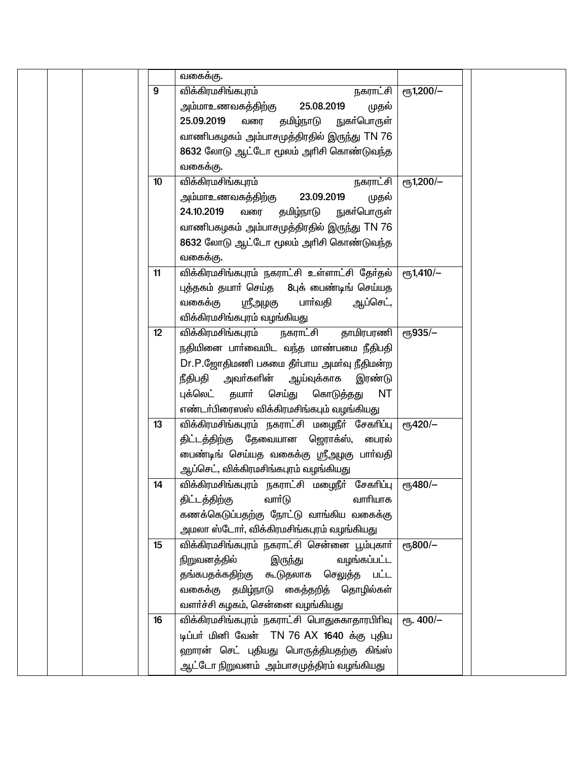|  |                 | வகைக்கு.                                                                                                                                                                                                                                                                               |                         |  |
|--|-----------------|----------------------------------------------------------------------------------------------------------------------------------------------------------------------------------------------------------------------------------------------------------------------------------------|-------------------------|--|
|  | 9               | விக்கிரமசிங்கபுரம்<br>நகராட்சி<br>25.08.2019<br>அம்மாஉணவகத்திற்கு<br>முதல்<br>25.09.2019<br>தமிழ்நாடு<br>நுகா்பொருள்<br>வரை<br>வாணிபகழகம் அம்பாசமுத்திரதில் இருந்து TN 76<br>8632 லோடு ஆட்டோ மூலம் அரிசி கொண்டுவந்த<br>வகைக்கு.                                                        | еҧ1,200/-               |  |
|  | 10 <sup>°</sup> | விக்கிரமசிங்கபுரம்<br>நகராட்சி<br>23.09.2019<br>அம்மாஉணவகத்திற்கு<br>முதல்<br>24.10.2019<br>தமிழ்நாடு<br>நுகா்பொருள்<br>வரை<br>வாணிபகழகம் அம்பாசமுத்திரதில் இருந்து TN 76<br>8632 லோடு ஆட்டோ மூலம் அரிசி கொண்டுவந்த<br>வகைக்கு.                                                        | еҧ1,200/-               |  |
|  | 11              | விக்கிரமசிங்கபுரம் நகராட்சி உள்ளாட்சி தேர்தல்<br>புத்தகம் தயாா் செய்த 8புக் பைண்டிங் செய்யத<br>வகைக்கு<br>பாா்வதி<br>ஆப்செட்,<br><u>ரிரேர் இ</u><br>விக்கிரமசிங்கபுரம் வழங்கியது                                                                                                       | $e$ <sup>1</sup> ,410/- |  |
|  | 12 <sup>°</sup> | விக்கிரமசிங்கபுரம்<br>தாமிரபரணி<br>நகராட்சி<br>நதியினை பாா்வையிட வந்த மாண்பமை நீதிபதி<br>Dr.P.ஜோதிமணி பசுமை தீர்பாய அமர்வு நீதிமன்ற<br>நீதிபதி<br>அவா்களின் ஆய்வுக்காக<br>இரண்டு<br>புக்லெட்<br>தயார்<br>செய்து<br><b>NT</b><br>கொடுத்தது<br>எண்டா்பிரைஸஸ் விக்கிரமசிங்கபும் வழங்கியது | еҧ935/-                 |  |
|  | 13              | விக்கிரமசிங்கபுரம் நகராட்சி மழைநீர் சேகரிப்பு<br>திட்டத்திற்கு தேவையான ஜொாக்ஸ், பைரல்<br>பைண்டிங் செய்யத வகைக்கு ஸ்ரீஅழகு பாா்வதி<br>ஆப்செட், விக்கிரமசிங்கபுரம் வழங்கியது                                                                                                             | $\rm eV/420/-$          |  |
|  | 14              | விக்கிரமசிங்கபுரம் நகராட்சி மழைநீர் சேகரிப்பு<br>திட்டத்திற்கு<br>வாா்டு<br>வாரியாக<br>கணக்கெடுப்பதற்கு நோட்டு வாங்கிய வகைக்கு<br>அமலா ஸ்டோா், விக்கிரமசிங்கபுரம் வழங்கியது                                                                                                            | $e\sqrt{5480/-}$        |  |
|  | 15              | விக்கிரமசிங்கபுரம் நகராட்சி சென்னை பூம்புகாா்  <br>நிறுவனத்தில்<br>வழங்கப்பட்ட<br>இருந்து<br>தங்கபதக்கதிற்கு கூடுதலாக செலுத்த பட்ட<br>வகைக்கு தமிழ்நாடு கைத்தறித் தொழில்கள்<br>வளா்ச்சி கழகம், சென்னை வழங்கியது                                                                        | еҧ800/-                 |  |
|  | 16              | விக்கிரமசிங்கபுரம் நகராட்சி பொதுசுகாதாரபிரிவு<br>டிப்பர் மினி வேன் TN 76 AX 1640 க்கு புதிய<br>ஹாரன் செட் புதியது பொருத்தியதற்கு கிங்ஸ்<br>ஆட்டோ நிறுவனம்  அம்பாசமுத்திரம் வழங்கியது                                                                                                   | $e\sqrt{15.400/-}$      |  |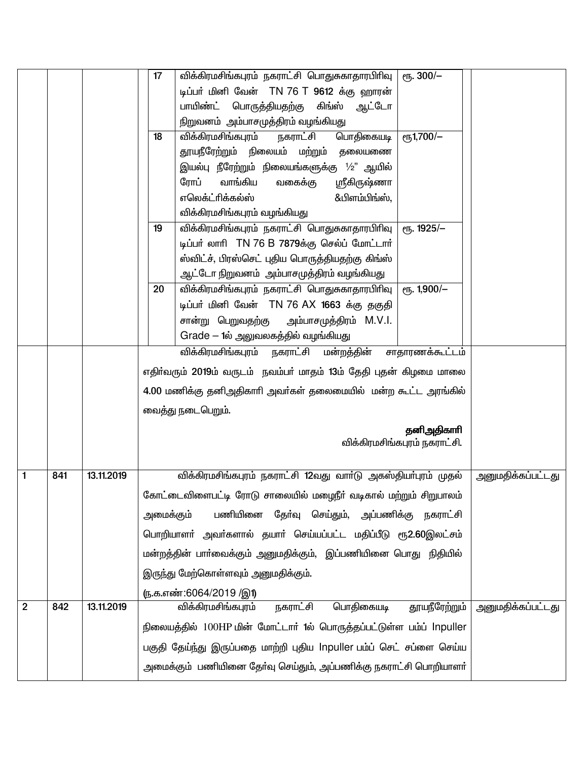|                |     |            | 17        | விக்கிரமசிங்கபுரம் நகராட்சி பொதுசுகாதாரபிரிவு<br>$\epsilon$ гђ. 300/-        |                          |
|----------------|-----|------------|-----------|------------------------------------------------------------------------------|--------------------------|
|                |     |            |           | டிப்பர் மினி வேன் TN 76 T 9612 க்கு ஹாரன்                                    |                          |
|                |     |            |           | பாயிண்ட் பொருத்தியதற்கு கிங்ஸ் ஆட்டோ                                         |                          |
|                |     |            |           | நிறுவனம்  அம்பாசமுத்திரம் வழங்கியது                                          |                          |
|                |     |            | 18        | பொதிகையடி<br>$e\sqrt{51,700/-}$<br>விக்கிரமசிங்கபுரம்<br>நகராட்சி            |                          |
|                |     |            |           | தூயநீரேற்றும் நிலையம் மற்றும் தலையணை                                         |                          |
|                |     |            |           | இயல்பு நீரேற்றும் நிலையங்களுக்கு $1\!\!/_{\text{2}}$ " ஆயில்                 |                          |
|                |     |            |           | ரோப்<br>வாங்கிய<br>ஸ்ரீகிருஷ்ணா<br>வகைக்கு                                   |                          |
|                |     |            |           | எலெக்ட்ரிக்கல்ஸ்<br>&பிளம்பிங்ஸ்,                                            |                          |
|                |     |            |           | விக்கிரமசிங்கபுரம் வழங்கியது                                                 |                          |
|                |     |            | 19        | விக்கிரமசிங்கபுரம் நகராட்சி பொதுசுகாதாரபிரிவு<br>ет. 1925/-                  |                          |
|                |     |            |           | டிப்பர் லாரி TN 76 B 7879க்கு செல்ப் மோட்டார்                                |                          |
|                |     |            |           | ஸ்விட்ச், பிரஸ்செட் புதிய பொருத்தியதற்கு கிங்ஸ்                              |                          |
|                |     |            |           | ஆட்டோ நிறுவனம்  அம்பாசமுத்திரம் வழங்கியது                                    |                          |
|                |     |            | 20        | விக்கிரமசிங்கபுரம் நகராட்சி பொதுசுகாதாரபிரிவு<br>$e$ гђ. 1,900/-             |                          |
|                |     |            |           | டிப்பர் மினி வேன் TN 76 AX 1663 க்கு தகுதி                                   |                          |
|                |     |            |           | சான்று பெறுவதற்கு அம்பாசமுத்திரம் M.V.I.                                     |                          |
|                |     |            |           | Grade – 1ல் அலுவலகத்தில் வழங்கியது<br>விக்கிரமசிங்கபுரம் நகராட்சி மன்றத்தின் |                          |
|                |     |            |           | சாதாரணக்கூட்டம்                                                              |                          |
|                |     |            |           | எதிர்வரும் 2019ம் வருடம் நவம்பர் மாதம் 13ம் தேதி புதன் கிழமை மாலை            |                          |
|                |     |            |           | 4.00 மணிக்கு தனிஅதிகாரி அவா்கள் தலைமையில் மன்ற கூட்ட அரங்கில்                |                          |
|                |     |            |           | வைத்து நடைபெறும்.                                                            |                          |
|                |     |            |           | தனிஅதிகாரி                                                                   |                          |
|                |     |            |           | விக்கிரமசிங்கபுரம் நகராட்சி.                                                 |                          |
|                |     |            |           |                                                                              |                          |
| $\mathbf{1}$   | 841 | 13.11.2019 |           | விக்கிரமசிங்கபுரம் நகராட்சி 12வது வாா்டு அகஸ்தியா்புரம் முதல்                | அனுமதிக்கப்பட்டது        |
|                |     |            |           | கோட்டைவிளைபட்டி ரோடு சாலையில் மழைநீா் வடிகால் மற்றும் சிறுபாலம்              |                          |
|                |     |            | அமைக்கும் | பணியினை தோ்வு செய்தும், அப்பணிக்கு நகராட்சி                                  |                          |
|                |     |            |           | பொறியாளா் அவா்களால் தயாா் செய்யப்பட்ட மதிப்பீடு ரூ2.60இலட்சம்                |                          |
|                |     |            |           | மன்றத்தின் பாா்வைக்கும் அனுமதிக்கும், இப்பணியினை பொது நிதியில்               |                          |
|                |     |            |           | இருந்து மேற்கொள்ளவும் அனுமதிக்கும்.                                          |                          |
|                |     |            |           | (ந.க.எண்:6064/2019 /இ1)                                                      |                          |
| $\overline{2}$ | 842 | 13.11.2019 |           | <u>நகராட்சி</u><br>பொதிகையடி<br>தூயநீரேற்றும்<br>விக்கிரமசிங்கபுரம்          | <u>அனுமதிக்கப்பட்டது</u> |
|                |     |            |           | நிலையத்தில் 100HP மின் மோட்டார் 1ல் பொருத்தப்பட்டுள்ள பம்ப் Inpuller         |                          |
|                |     |            |           | பகுதி தேய்ந்து இருப்பதை மாற்றி புதிய Inpuller பம்ப் செட் சப்ளை செய்ய         |                          |
|                |     |            |           | அமைக்கும்  பணியினை தோ்வு செய்தும், அப்பணிக்கு நகராட்சி பொறியாளா்             |                          |
|                |     |            |           |                                                                              |                          |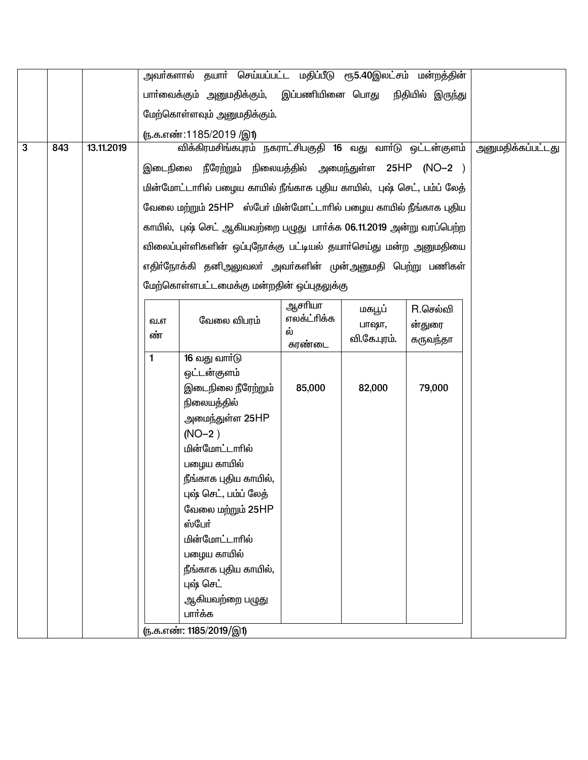|   |     |            |              | அவா்களால் தயாா் செய்யப்பட்ட மதிப்பீடு ரூ5.40இலட்சம் மன்றத்தின்                                                                                                                                                                                                                                                          |                                        |                                 |                                |                          |
|---|-----|------------|--------------|-------------------------------------------------------------------------------------------------------------------------------------------------------------------------------------------------------------------------------------------------------------------------------------------------------------------------|----------------------------------------|---------------------------------|--------------------------------|--------------------------|
|   |     |            |              | பாா்வைக்கும் அனுமதிக்கும்,  இப்பணியினை பொது                                                                                                                                                                                                                                                                             |                                        |                                 | நிதியில் இருந்து               |                          |
|   |     |            |              | மேற்கொள்ளவும் அனுமதிக்கும்.                                                                                                                                                                                                                                                                                             |                                        |                                 |                                |                          |
|   |     |            |              | (ந.க.எண்:1185/2019 /இ1)                                                                                                                                                                                                                                                                                                 |                                        |                                 |                                |                          |
| 3 | 843 | 13.11.2019 |              | விக்கிரமசிங்கபுரம் நகராட்சிபகுதி 16 வது வாா்டு ஒட்டன்குளம்                                                                                                                                                                                                                                                              |                                        |                                 |                                | <u>அனுமதிக்கப்பட்டது</u> |
|   |     |            |              | இடைநிலை நீரேற்றும் நிலையத்தில் அமைந்துள்ள 25HP (NO−2 )                                                                                                                                                                                                                                                                  |                                        |                                 |                                |                          |
|   |     |            |              | மின்மோட்டாரில் பழைய காயில் நீங்காக புதிய காயில், புஷ் செட், பம்ப் லேத்                                                                                                                                                                                                                                                  |                                        |                                 |                                |                          |
|   |     |            |              | வேலை மற்றும் 25HP ஸ்பேர் மின்மோட்டாரில் பழைய காயில் நீங்காக புதிய                                                                                                                                                                                                                                                       |                                        |                                 |                                |                          |
|   |     |            |              | காயில், புஷ் செட் ஆகியவற்றை பழுது பார்க்க 06.11.2019 அன்று வரப்பெற்ற                                                                                                                                                                                                                                                    |                                        |                                 |                                |                          |
|   |     |            |              | விலைப்புள்ளிகளின் ஒப்புநோக்கு பட்டியல் தயாா்செய்து மன்ற அனுமதியை                                                                                                                                                                                                                                                        |                                        |                                 |                                |                          |
|   |     |            |              | எதிா்நோக்கி தனிஅலுவலா் அவா்களின் முன்அனுமதி பெற்று பணிகள்                                                                                                                                                                                                                                                               |                                        |                                 |                                |                          |
|   |     |            |              | மேற்கொள்ளபட்டமைக்கு மன்றதின் ஒப்புதலுக்கு                                                                                                                                                                                                                                                                               |                                        |                                 |                                |                          |
|   |     |            | வ.எ<br>ண்    | வேலை விபரம்                                                                                                                                                                                                                                                                                                             | ஆசரியா<br>எலக்ட்ரிக்க<br>ல்<br>சுரண்டை | மகபூப்<br>பாஷா,<br>வி.கே.புரம். | R.செல்வி<br>ன்துரை<br>கருவந்தா |                          |
|   |     |            | $\mathbf{1}$ | 16 வது வார்டு<br>ஒட்டன்குளம்<br>இடைநிலை நீரேற்றும்<br>நிலையத்தில்<br>அமைந்துள்ள 25HP<br>$(NO-2)$<br>மின்மோட்டாரில்<br>பழைய காயில்<br>நீங்காக புதிய காயில்,<br>புஷ் செட், பம்ப் லேத்<br>வேலை மற்றும் 25HP<br>ஸ்பேர்<br>மின்மோட்டாரில்<br>பழைய காயில்<br>நீங்காக புதிய காயில்,<br>புஷ் செட்<br>ஆகியவற்றை பழுது<br>பார்க்க | 85,000                                 | 82,000                          | 79,000                         |                          |
|   |     |            |              | ரு.க.எண்: 1185/2019/இ1)                                                                                                                                                                                                                                                                                                 |                                        |                                 |                                |                          |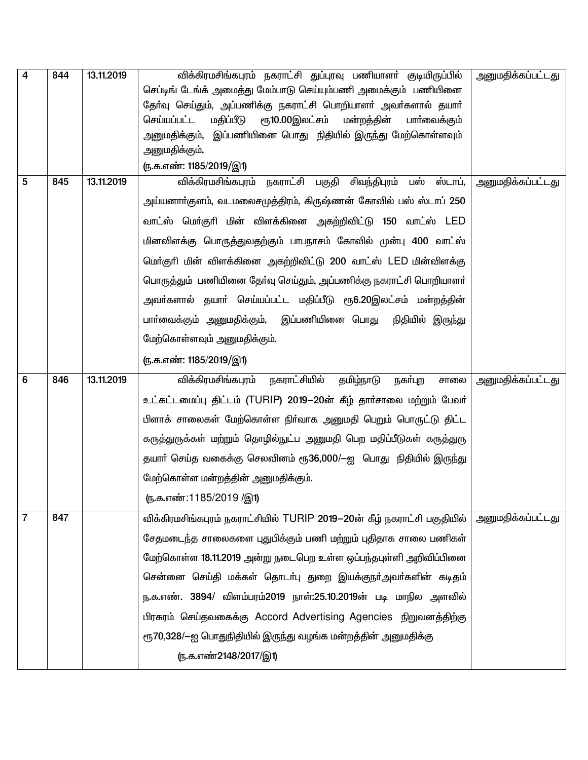| $\overline{4}$ | 844 | 13.11.2019 | விக்கிரமசிங்கபுரம் நகராட்சி துப்புரவு பணியாளா் குடியிருப்பில்<br>செப்டிங் டேங்க் அமைத்து மேம்பாடு செய்யும்பணி அமைக்கும் பணியினை | அனுமதிக்கப்பட்டது        |
|----------------|-----|------------|---------------------------------------------------------------------------------------------------------------------------------|--------------------------|
|                |     |            | தேர்வு செய்தும், அப்பணிக்கு நகராட்சி பொறியாளர் அவர்களால் தயார்                                                                  |                          |
|                |     |            | மதிப்பீடு<br>ரூ10.00இலட்சம்<br>மன்றத்தின்<br>செய்யப்பட்ட<br>பாா்வைக்கும்                                                        |                          |
|                |     |            | அனுமதிக்கும்,  இப்பணியினை பொது  நிதியில் இருந்து மேற்கொள்ளவும்                                                                  |                          |
|                |     |            | அனுமதிக்கும்.                                                                                                                   |                          |
|                |     |            | <u>ரு.க.எண்: 1185/2019/இ1)</u>                                                                                                  |                          |
| 5              | 845 | 13.11.2019 | நகராட்சி பகுதி சிவந்திபுரம் பஸ்<br>விக்கிரமசிங்கபுரம்<br>ஸ்டாப்,                                                                | அனுமதிக்கப்பட்டது        |
|                |     |            | அய்யனாா்குளம், வடமலைசமுத்திரம், கிருஷ்ணன் கோவில் பஸ் ஸ்டாப் 250                                                                 |                          |
|                |     |            | வாட்ஸ் மொ்குரி மின் விளக்கினை அகற்றிவிட்டு 150 வாட்ஸ் LED                                                                       |                          |
|                |     |            | மினவிளக்கு பொருத்துவதற்கும் பாபநாசம் கோவில் முன்பு 400 வாட்ஸ்                                                                   |                          |
|                |     |            | மெர்குரி மின் விளக்கினை அகற்றிவிட்டு 200 வாட்ஸ் LED மின்விளக்கு                                                                 |                          |
|                |     |            | பொருத்தும் பணியினை தேர்வு செய்தும், அப்பணிக்கு நகராட்சி பொறியாளர்                                                               |                          |
|                |     |            | அவா்களால் தயாா் செய்யப்பட்ட மதிப்பீடு ரூ6.20இலட்சம் மன்றத்தின்                                                                  |                          |
|                |     |            | பாா்வைக்கும் அனுமதிக்கும்,  இப்பணியினை பொது<br>நிதியில் இருந்து                                                                 |                          |
|                |     |            | மேற்கொள்ளவும் அனுமதிக்கும்.                                                                                                     |                          |
|                |     |            | (ந.க.எண்: 1185/2019/இ1)                                                                                                         |                          |
| 6              | 846 | 13.11.2019 | நகராட்சியில்<br>விக்கிரமசிங்கபுரம்<br>தமிழ்நாடு<br>நகர்புற<br>சாலை                                                              | அனுமதிக்கப்பட்டது        |
|                |     |            | உட்கட்டமைப்பு திட்டம் (TURIP) 2019–20ன் கீழ் தார்சாலை மற்றும் பேவர்                                                             |                          |
|                |     |            | பிளாக் சாலைகள் மேற்கொள்ள நிா்வாக அனுமதி பெறும் பொருட்டு திட்ட                                                                   |                          |
|                |     |            |                                                                                                                                 |                          |
|                |     |            | கருத்துருக்கள் மற்றும் தொழில்நுட்ப அனுமதி பெற மதிப்பீடுகள் கருத்துரு                                                            |                          |
|                |     |            | தயாா் செய்த வகைக்கு செலவினம் ரூ36,000/—ஐ பொது நிதியில் இருந்து                                                                  |                          |
|                |     |            | மேற்கொள்ள மன்றத்தின் அனுமதிக்கும்.                                                                                              |                          |
|                |     |            | ரு.க.எண்:1185/2019 /இ1)                                                                                                         |                          |
| 7              | 847 |            | விக்கிரமசிங்கபுரம் நகராட்சியில் TURIP 2019-20ன் கீழ் நகராட்சி பகுதியில்                                                         | <u>அனுமதிக்கப்பட்டது</u> |
|                |     |            | சேதமடைந்த சாலைகளை புதுபிக்கும் பணி மற்றும் புதிதாக சாலை பணிகள்                                                                  |                          |
|                |     |            | மேற்கொள்ள 18.11.2019 அன்று நடைபெற உள்ள ஒப்பந்தபுள்ளி அறிவிப்பினை                                                                |                          |
|                |     |            | சென்னை செய்தி மக்கள் தொடா்பு துறை இயக்குநா்அவா்களின் கடிதம்                                                                     |                          |
|                |     |            | ந.க.எண். 3894/ விளம்பரம்2019 நாள்:25.10.2019ன் படி மாநில அளவில்                                                                 |                          |
|                |     |            | பிரசுரம் செய்தவகைக்கு Accord Advertising Agencies நிறுவனத்திற்கு                                                                |                          |
|                |     |            | ரூ70,328/—ஐ பொதுநிதியில் இருந்து வழங்க மன்றத்தின் அனுமதிக்கு                                                                    |                          |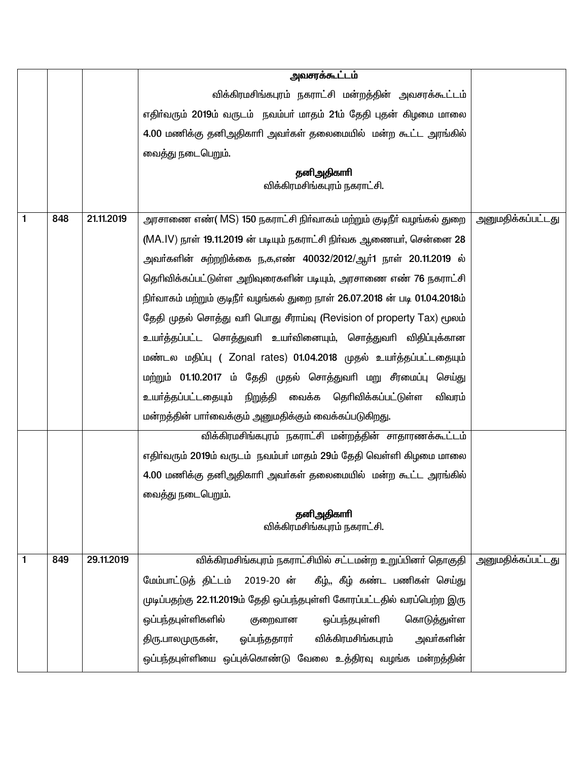|   |     |            | அவசரக்கூட்டம்                                                               |                   |
|---|-----|------------|-----------------------------------------------------------------------------|-------------------|
|   |     |            | விக்கிரமசிங்கபுரம் நகராட்சி மன்றத்தின் அவசரக்கூட்டம்                        |                   |
|   |     |            | எதிர்வரும் 2019ம் வருடம் நவம்பர் மாதம் 21ம் தேதி புதன் கிழமை மாலை           |                   |
|   |     |            | 4.00 மணிக்கு தனிஅதிகாரி அவா்கள் தலைமையில் மன்ற கூட்ட அரங்கில்               |                   |
|   |     |            | வைத்து நடைபெறும்.                                                           |                   |
|   |     |            | தனிஅதிகாரி<br>விக்கிரமசிங்கபுரம் நகராட்சி.                                  |                   |
| 1 | 848 | 21.11.2019 | அரசாணை எண்( MS) 150 நகராட்சி நிர்வாகம் மற்றும் குடிநீர் வழங்கல் துறை        | அனுமதிக்கப்பட்டது |
|   |     |            | (MA.IV) நாள் 19.11.2019 ன் படியும் நகராட்சி நிர்வக ஆணையர், சென்னை 28        |                   |
|   |     |            | அவா்களின் சுற்றறிக்கை ந,க,எண் 40032/2012/ஆா்1 நாள் 20.11.2019 ல்            |                   |
|   |     |            | தெரிவிக்கப்பட்டுள்ள அறிவுரைகளின் படியும், அரசாணை எண் 76 நகராட்சி            |                   |
|   |     |            | நிர்வாகம் மற்றும் குடிநீர் வழங்கல் துறை நாள் 26.07.2018 ன் படி 01.04.2018ம் |                   |
|   |     |            | தேதி முதல் சொத்து வரி பொது சீராய்வு (Revision of property Tax) மூலம்        |                   |
|   |     |            | உயர்த்தப்பட்ட சொத்துவரி உயர்வினையும், சொத்துவரி விதிப்புக்கான               |                   |
|   |     |            | மண்டல மதிப்பு (Zonal rates) 01.04.2018 முதல் உயர்த்தப்பட்டதையும்            |                   |
|   |     |            | மற்றும் 01.10.2017 ம் தேதி முதல் சொத்துவரி மறு சீரமைப்பு செய்து             |                   |
|   |     |            | உயா்த்தப்பட்டதையும் நிறுத்தி வைக்க தொிவிக்கப்பட்டுள்ள<br>விவரம்             |                   |
|   |     |            | மன்றத்தின் பாா்வைக்கும் அனுமதிக்கும் வைக்கப்படுகிறது.                       |                   |
|   |     |            | விக்கிரமசிங்கபுரம் நகராட்சி மன்றத்தின் சாதாரணக்கூட்டம்                      |                   |
|   |     |            | எதிர்வரும் 2019ம் வருடம் நவம்பர் மாதம் 29ம் தேதி வெள்ளி கிழமை மாலை          |                   |
|   |     |            | 4.00 மணிக்கு தனிஅதிகாரி அவர்கள் தலைமையில் மன்ற கூட்ட அரங்கில்               |                   |
|   |     |            | வைத்து நடைபெறும்.                                                           |                   |
|   |     |            | தனிஅதிகாரி<br>விக்கிரமசிங்கபுரம் நகராட்சி.                                  |                   |
|   |     |            |                                                                             |                   |
| 1 | 849 | 29.11.2019 | விக்கிரமசிங்கபுரம் நகராட்சியில் சட்டமன்ற உறுப்பினர் தொகுதி                  | அனுமதிக்கப்பட்டது |
|   |     |            | மேம்பாட்டுத் திட்டம் 2019-20 ன் கீழ்,, கீழ் கண்ட பணிகள் செய்து              |                   |
|   |     |            | முடிப்பதற்கு 22.11.2019ம் தேதி ஒப்பந்தபுள்ளி கோரப்பட்டதில் வரப்பெற்ற இரு    |                   |
|   |     |            | கொடுத்துள்ள<br>ஒப்பந்தபுள்ளிகளில்<br>ஒப்பந்தபுள்ளி<br>குறைவான               |                   |
|   |     |            | விக்கிரமசிங்கபுரம்<br>அவா்களின்<br>ஒப்பந்ததாரா்<br>திரு.பாலமுருகன்,         |                   |
|   |     |            | ஒப்பந்தபுள்ளியை ஒப்புக்கொண்டு வேலை உத்திரவு வழங்க மன்றத்தின்                |                   |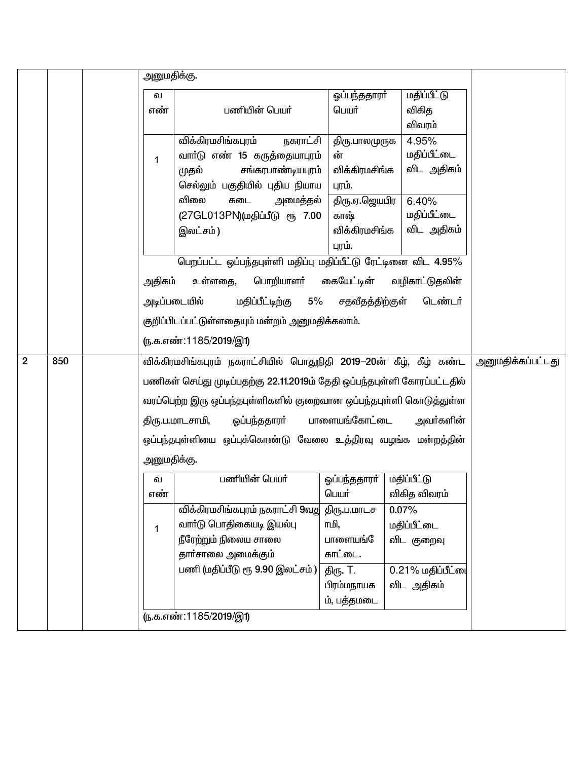|                |     |              | அனுமதிக்கு.                                                              |               |                           |                          |
|----------------|-----|--------------|--------------------------------------------------------------------------|---------------|---------------------------|--------------------------|
|                |     | வ            |                                                                          | ஒப்பந்ததாரா்  | மதிப்பீட்டு               |                          |
|                |     | எண்          | பணியின் பெயர்                                                            | பெயர்         | விகித                     |                          |
|                |     |              |                                                                          |               | விவரம்                    |                          |
|                |     |              | விக்கிரமசிங்கபுரம்<br>நகராட்சி                                           | திரு.பாலமுருக | 4.95%                     |                          |
|                |     | $\mathbf{1}$ | வாா்டு எண் 15 கருத்தையாபுரம்                                             | ன்            | மதிப்பீட்டை               |                          |
|                |     |              | சங்கரபாண்டியபுரம்<br>முதல்                                               | விக்கிரமசிங்க | விட அதிகம்                |                          |
|                |     |              | செல்லும் பகுதியில் புதிய நியாய                                           | புரம்.        |                           |                          |
|                |     |              | விலை<br>அமைத்தல்<br>கடை                                                  | திரு.ஏ.ஜெயபிர | 6.40%                     |                          |
|                |     |              | (27GL013PN)(மதிப்பீடு ரூ 7.00                                            | காஷ்          | மதிப்பீட்டை               |                          |
|                |     |              | இலட்சம்)                                                                 | விக்கிரமசிங்க | விட அதிகம்                |                          |
|                |     |              |                                                                          | புரம்.        |                           |                          |
|                |     |              | பெறப்பட்ட ஒப்பந்தபுள்ளி மதிப்பு மதிப்பீட்டு ரேட்டினை விட 4.95%           |               |                           |                          |
|                |     | அதிகம்       | உள்ளதை,<br>பொறியாளர்                                                     |               | கையேட்டின் வழிகாட்டுதலின் |                          |
|                |     |              | அடிப்படையில்<br>மதிப்பீட்டிற்கு 5% சதவீதத்திற்குள்                       |               | டெண்டர்                   |                          |
|                |     |              | குறிப்பிடப்பட்டுள்ளதையும் மன்றம் அனுமதிக்கலாம்.                          |               |                           |                          |
|                |     |              | <u>(ந.க.எண்:1185/2019/இ1)</u>                                            |               |                           |                          |
| $\overline{2}$ | 850 |              | விக்கிரமசிங்கபுரம் நகராட்சியில் பொதுநிதி 2019—20ன் கீழ், கீழ் கண்ட       |               |                           | <u>அனுமதிக்கப்பட்டது</u> |
|                |     |              | பணிகள் செய்து முடிப்பதற்கு 22.11.2019ம் தேதி ஒப்பந்தபுள்ளி கோரப்பட்டதில் |               |                           |                          |
|                |     |              | வரப்பெற்ற இரு ஒப்பந்தபுள்ளிகளில் குறைவான ஒப்பந்தபுள்ளி கொடுத்துள்ள       |               |                           |                          |
|                |     |              | திரு.ப.மாடசாமி,<br>ஓப்பந்ததாரா்                                          | பாளையங்கோட்டை | அவா்களின்                 |                          |
|                |     |              | ஒப்பந்தபுள்ளியை ஒப்புக்கொண்டு வேலை உத்திரவு வழங்க மன்றத்தின்             |               |                           |                          |
|                |     |              | அனுமதிக்கு.                                                              |               |                           |                          |
|                |     | வ            | பணியின் பெயர்                                                            | ஒப்பந்ததாரா்  | மதிப்பீட்டு               |                          |
|                |     | எண்          |                                                                          | பெயர்         | விகித விவரம்              |                          |
|                |     |              | விக்கிரமசிங்கபுரம் நகராட்சி 9வது                                         | திரு.ப.மாடச   | 0.07%                     |                          |
|                |     | 1            | வாா்டு பொதிகையடி இயல்பு                                                  | ாமி,          | மதிப்பீட்டை               |                          |
|                |     |              | நீரேற்றும் நிலைய சாலை                                                    | பாளையங்       | விட குறைவு                |                          |
|                |     |              | தாா்சாலை அமைக்கும்                                                       | காட்டை.       |                           |                          |
|                |     |              | பணி (மதிப்பீடு ரூ 9.90 இலட்சம்)                                          | திரு. T.      | 0.21% மதிப்பீட்டை         |                          |
|                |     |              |                                                                          | பிரம்மநாயக    | விட அதிகம்                |                          |
|                |     |              |                                                                          | ம், பத்தமடை   |                           |                          |
|                |     |              | (ந.க.எண்:1185/2019/இ1)                                                   |               |                           |                          |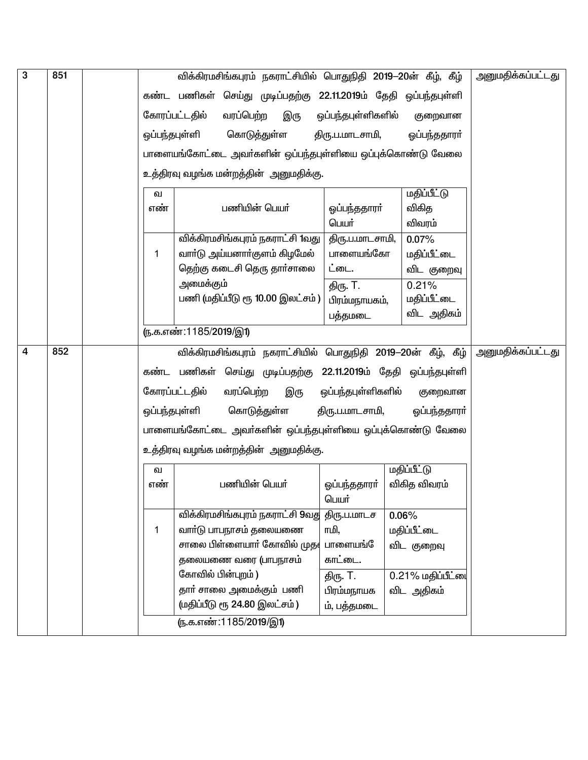| 3                       | 851 |               |                        |               |                                       |                           | விக்கிரமசிங்கபுரம் நகராட்சியில் பொதுநிதி 2019-20ன் கீழ், கீழ்   | அனுமதிக்கப்பட்டது        |
|-------------------------|-----|---------------|------------------------|---------------|---------------------------------------|---------------------------|-----------------------------------------------------------------|--------------------------|
|                         |     |               |                        |               |                                       |                           | கண்ட பணிகள் செய்து முடிப்பதற்கு 22.11.2019ம் தேதி ஒப்பந்தபுள்ளி |                          |
|                         |     |               | கோரப்பட்டதில்          | வரப்பெற்ற     | இரு                                   | ஒப்பந்தபுள்ளிகளில்        | குறைவான                                                         |                          |
|                         |     | ஒப்பந்தபுள்ளி |                        | கொடுத்துள்ள   |                                       | திரு.ப.மாடசாமி,           | ஓப்பந்ததாரா்                                                    |                          |
|                         |     |               |                        |               |                                       |                           |                                                                 |                          |
|                         |     |               |                        |               |                                       |                           | பாளையங்கோட்டை அவா்களின் ஒப்பந்தபுள்ளியை ஒப்புக்கொண்டு வேலை      |                          |
|                         |     |               |                        |               | உத்திரவு வழங்க மன்றத்தின் அனுமதிக்கு. |                           |                                                                 |                          |
|                         |     | வ             |                        |               |                                       |                           | <u>மதிப்பீட்டு</u>                                              |                          |
|                         |     | எண்           |                        | பணியின் பெயர் |                                       | ஒப்பந்ததாரா்              | விகித                                                           |                          |
|                         |     |               |                        |               |                                       | பெயர்                     | விவரம்                                                          |                          |
|                         |     |               |                        |               | விக்கிரமசிங்கபுரம் நகராட்சி 1வது      | திரு.ப.மாடசாமி,           | 0.07%                                                           |                          |
|                         |     | 1             |                        |               | வாா்டு அய்யனாா்குளம் கிழமேல்          | பாளையங்கோ                 | மதிப்பீட்டை                                                     |                          |
|                         |     |               | அமைக்கும்              |               | தெற்கு கடைசி தெரு தார்சாலை            | ட்டை.                     | விட குறைவு                                                      |                          |
|                         |     |               |                        |               | பணி (மதிப்பீடு ரூ 10.00 இலட்சம் )     | திரு. T.<br>பிரம்மநாயகம், | 0.21%<br>மதிப்பீட்டை                                            |                          |
|                         |     |               |                        |               |                                       | பத்தமடை                   | விட அதிகம்                                                      |                          |
|                         |     |               | ரு.க.எண்:1185/2019/இ1) |               |                                       |                           |                                                                 |                          |
|                         |     |               |                        |               |                                       |                           |                                                                 |                          |
| $\overline{\mathbf{4}}$ | 852 |               |                        |               |                                       |                           | விக்கிரமசிங்கபுரம் நகராட்சியில் பொதுநிதி 2019–20ன் கீழ், கீழ்   | <u>அனுமதிக்கப்பட்டது</u> |
|                         |     |               |                        |               |                                       |                           | கண்ட பணிகள் செய்து முடிப்பதற்கு 22.11.2019ம் தேதி ஒப்பந்தபுள்ளி |                          |
|                         |     |               | கோரப்பட்டதில்          | வரப்பெற்ற     | இரு                                   | ஒப்பந்தபுள்ளிகளில்        | குறைவான                                                         |                          |
|                         |     |               | ஒப்பந்தபுள்ளி          |               | கொடுத்துள்ள                           | திரு.ப.மாடசாமி,           | ஓப்பந்ததாரா்                                                    |                          |
|                         |     |               |                        |               |                                       |                           | பாளையங்கோட்டை அவா்களின் ஒப்பந்தபுள்ளியை ஒப்புக்கொண்டு வேலை      |                          |
|                         |     |               |                        |               | உத்திரவு வழங்க மன்றத்தின் அனுமதிக்கு. |                           |                                                                 |                          |
|                         |     | வ             |                        |               |                                       |                           | <b>மதிப்பீட்டு</b>                                              |                          |
|                         |     | எண்           |                        | பணியின் பெயர் |                                       | ஒப்பந்ததாரா்              | விகித விவரம்                                                    |                          |
|                         |     |               |                        |               |                                       | பெயர்                     |                                                                 |                          |
|                         |     |               |                        |               | விக்கிரமசிங்கபுரம் நகராட்சி 9வது      | திரு.ப.மாடச               | 0.06%                                                           |                          |
|                         |     | 1             |                        |               | வாா்டு பாபநாசம் தலையணை                | ாமி,                      | மதிப்பீட்டை                                                     |                          |
|                         |     |               |                        |               | சாலை பிள்ளையாா் கோவில் முத $\epsilon$ | பாளையங்                   | விட குறைவு                                                      |                          |
|                         |     |               |                        |               | தலையணை வரை (பாபநாசம்                  | காட்டை.                   |                                                                 |                          |
|                         |     |               | கோவில் பின்புறம்)      |               |                                       | திரு. T.                  | 0.21% மதிப்பீட்டை                                               |                          |
|                         |     |               |                        |               | தாா் சாலை அமைக்கும் பணி               | பிரம்மநாயக                | விட அதிகம்                                                      |                          |
|                         |     |               |                        |               | (மதிப்பீடு ரூ 24.80 இலட்சம்)          | ம், பத்தமடை               |                                                                 |                          |
|                         |     |               | (ந.க.எண்:1185/2019/இ1) |               |                                       |                           |                                                                 |                          |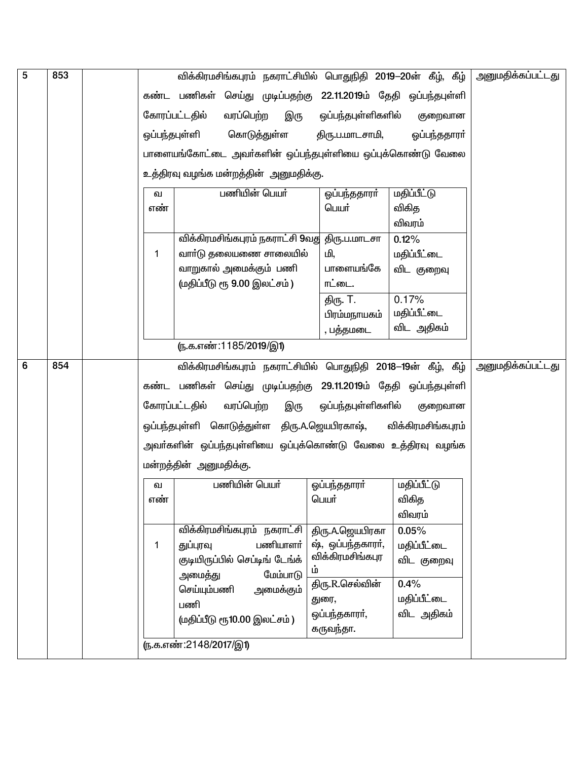| 5 | 853 | விக்கிரமசிங்கபுரம் நகராட்சியில் பொதுநிதி 2019—20ன் கீழ், கீழ்                                        | <u>அனுமதிக்கப்பட்டது</u> |
|---|-----|------------------------------------------------------------------------------------------------------|--------------------------|
|   |     | கண்ட பணிகள் செய்து முடிப்பதற்கு 22.11.2019ம் தேதி ஒப்பந்தபுள்ளி                                      |                          |
|   |     | வரப்பெற்ற<br>கோரப்பட்டதில்<br>இரு<br>ஒப்பந்தபுள்ளிகளில்<br>குறைவான                                   |                          |
|   |     | கொடுத்துள்ள<br>ஒப்பந்தபுள்ளி<br>திரு.ப.மாடசாமி,<br>ஓப்பந்ததாரா்                                      |                          |
|   |     |                                                                                                      |                          |
|   |     | பாளையங்கோட்டை அவா்களின் ஒப்பந்தபுள்ளியை ஒப்புக்கொண்டு வேலை<br>உத்திரவு வழங்க மன்றத்தின்  அனுமதிக்கு. |                          |
|   |     | பணியின் பெயர்<br><u>மதிப்பீட்டு</u><br>ஒப்பந்ததாரா்<br>ഖ                                             |                          |
|   |     | விகித<br>எண்<br>பெயர்                                                                                |                          |
|   |     | விவரம்                                                                                               |                          |
|   |     | விக்கிரமசிங்கபுரம் நகராட்சி 9வது திரு.ப.மாடசா<br>0.12%                                               |                          |
|   |     | வாா்டு தலையணை சாலையில்<br>மி,<br>மதிப்பீட்டை<br>1                                                    |                          |
|   |     | வாறுகால் அமைக்கும் பணி<br>பாளையங்கே<br>விட குறைவு                                                    |                          |
|   |     | (மதிப்பீடு ரூ 9.00 இலட்சம்)<br>ாட்டை.                                                                |                          |
|   |     | 0.17%<br>திரு. T.                                                                                    |                          |
|   |     | மதிப்பீட்டை<br>பிரம்மநாயகம்<br>விட அதிகம்                                                            |                          |
|   |     | , பத்தமடை                                                                                            |                          |
|   |     | ரு.க.எண்:1185/2019/இ1)                                                                               |                          |
| 6 | 854 | விக்கிரமசிங்கபுரம் நகராட்சியில் பொதுநிதி 2018–19ன் கீழ், கீழ்                                        | <u>அனுமதிக்கப்பட்டது</u> |
|   |     | கண்ட பணிகள் செய்து முடிப்பதற்கு 29.11.2019ம் தேதி ஒப்பந்தபுள்ளி                                      |                          |
|   |     | கோரப்பட்டதில்<br>வரப்பெற்ற<br>ஒப்பந்தபுள்ளிகளில்<br>இரு<br>குறைவான                                   |                          |
|   |     | ஒப்பந்தபுள்ளி கொடுத்துள்ள திரு.A.ஜெயபிரகாஷ்,<br>விக்கிரமசிங்கபுரம்                                   |                          |
|   |     | அவா்களின் ஒப்பந்தபுள்ளியை ஒப்புக்கொண்டு வேலை உத்திரவு வழங்க                                          |                          |
|   |     | மன்றத்தின் அனுமதிக்கு.                                                                               |                          |
|   |     | பணியின் பெயர்<br>மதிப்பீட்டு<br>ஒப்பந்ததாரா்<br>வ                                                    |                          |
|   |     | விகித<br>பெயர்<br>எண                                                                                 |                          |
|   |     | விவரம்                                                                                               |                          |
|   |     | விக்கிரமசிங்கபுரம் நகராட்சி<br>திரு.A.ஜெயபிரகா<br>0.05%                                              |                          |
|   |     | ஷ், ஒப்பந்தகாரா்,<br>பணியாளர்<br>துப்புரவு<br>மதிப்பீட்டை<br>1<br>விக்கிரமசிங்கபுர                   |                          |
|   |     | குடியிருப்பில் செப்டிங் டேங்க்<br>விட குறைவு<br>ம்                                                   |                          |
|   |     | மேம்பாடு<br>அமைத்து<br>0.4%<br>திரு.R.செல்வின்                                                       |                          |
|   |     | செய்யும்பணி<br>அமைக்கும்<br>மதிப்பீட்டை<br>துரை,<br>பணி                                              |                          |
|   |     | விட அதிகம்<br>ஒப்பந்தகாரா்,<br>(மதிப்பீடு ரூ10.00 இலட்சம்)                                           |                          |
|   |     | கருவந்தா.                                                                                            |                          |
|   |     | <u>(ந.க.எண்:2148/2017/இ1)</u>                                                                        |                          |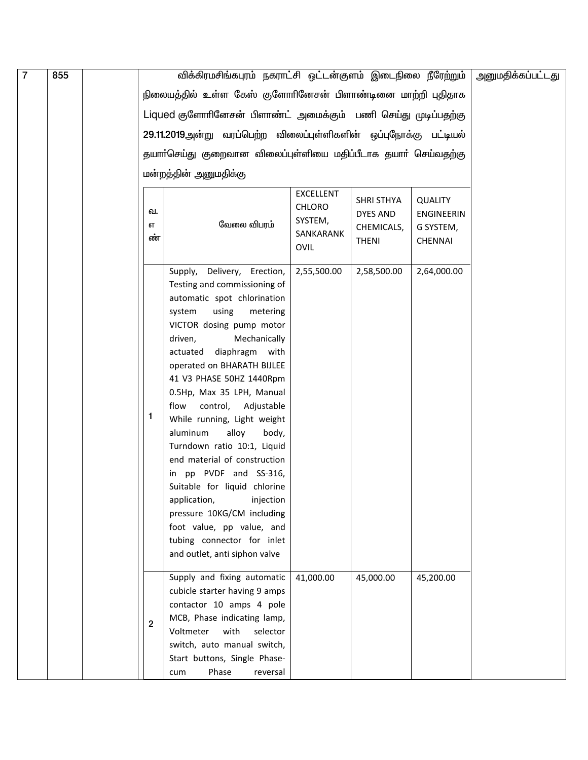| $\overline{7}$ | 855 |                | விக்கிரமசிங்கபுரம் நகராட்சி ஒட்டன்குளம் இடைநிலை நீரேற்றும்       |                                   |                   |                   | அனுமதிக்கப்பட்டது |
|----------------|-----|----------------|------------------------------------------------------------------|-----------------------------------|-------------------|-------------------|-------------------|
|                |     |                | நிலையத்தில் உள்ள கேஸ் குளோரினேசன் பிளாண்டினை மாற்றி புதிதாக      |                                   |                   |                   |                   |
|                |     |                | Liqued குளோரினேசன் பிளாண்ட் அமைக்கும் பணி செய்து முடிப்பதற்கு    |                                   |                   |                   |                   |
|                |     |                |                                                                  |                                   |                   |                   |                   |
|                |     |                | 29.11.2019அன்று வரப்பெற்ற விலைப்புள்ளிகளின் ஒப்புநோக்கு பட்டியல் |                                   |                   |                   |                   |
|                |     |                | தயாா்செய்து குறைவான விலைப்புள்ளியை மதிப்பீடாக தயாா் செய்வதற்கு   |                                   |                   |                   |                   |
|                |     |                | மன்றத்தின் அனுமதிக்கு                                            |                                   |                   |                   |                   |
|                |     |                |                                                                  |                                   |                   |                   |                   |
|                |     |                |                                                                  | <b>EXCELLENT</b><br><b>CHLORO</b> | <b>SHRI STHYA</b> | <b>QUALITY</b>    |                   |
|                |     | வ.             | வேலை விபரம்                                                      | SYSTEM,                           | DYES AND          | <b>ENGINEERIN</b> |                   |
|                |     | எ<br>ண்        |                                                                  | SANKARANK                         | CHEMICALS,        | G SYSTEM,         |                   |
|                |     |                |                                                                  | <b>OVIL</b>                       | <b>THENI</b>      | <b>CHENNAI</b>    |                   |
|                |     |                | Delivery, Erection,<br>Supply,                                   | 2,55,500.00                       | 2,58,500.00       | 2,64,000.00       |                   |
|                |     |                | Testing and commissioning of                                     |                                   |                   |                   |                   |
|                |     |                | automatic spot chlorination                                      |                                   |                   |                   |                   |
|                |     |                | system<br>using<br>metering                                      |                                   |                   |                   |                   |
|                |     |                | VICTOR dosing pump motor                                         |                                   |                   |                   |                   |
|                |     |                | driven,<br>Mechanically                                          |                                   |                   |                   |                   |
|                |     |                | actuated<br>diaphragm with                                       |                                   |                   |                   |                   |
|                |     |                | operated on BHARATH BIJLEE<br>41 V3 PHASE 50HZ 1440Rpm           |                                   |                   |                   |                   |
|                |     |                | 0.5Hp, Max 35 LPH, Manual                                        |                                   |                   |                   |                   |
|                |     |                | control, Adjustable<br>flow                                      |                                   |                   |                   |                   |
|                |     | 1              | While running, Light weight                                      |                                   |                   |                   |                   |
|                |     |                | aluminum<br>alloy<br>body,                                       |                                   |                   |                   |                   |
|                |     |                | Turndown ratio 10:1, Liquid                                      |                                   |                   |                   |                   |
|                |     |                | end material of construction                                     |                                   |                   |                   |                   |
|                |     |                | pp PVDF and SS-316,<br>in                                        |                                   |                   |                   |                   |
|                |     |                | Suitable for liquid chlorine                                     |                                   |                   |                   |                   |
|                |     |                | injection<br>application,<br>pressure 10KG/CM including          |                                   |                   |                   |                   |
|                |     |                | foot value, pp value, and                                        |                                   |                   |                   |                   |
|                |     |                | tubing connector for inlet                                       |                                   |                   |                   |                   |
|                |     |                | and outlet, anti siphon valve                                    |                                   |                   |                   |                   |
|                |     |                |                                                                  |                                   |                   |                   |                   |
|                |     |                | Supply and fixing automatic<br>cubicle starter having 9 amps     | 41,000.00                         | 45,000.00         | 45,200.00         |                   |
|                |     |                | contactor 10 amps 4 pole                                         |                                   |                   |                   |                   |
|                |     |                | MCB, Phase indicating lamp,                                      |                                   |                   |                   |                   |
|                |     | $\overline{2}$ | Voltmeter<br>with<br>selector                                    |                                   |                   |                   |                   |
|                |     |                | switch, auto manual switch,                                      |                                   |                   |                   |                   |
|                |     |                | Start buttons, Single Phase-                                     |                                   |                   |                   |                   |
|                |     |                | Phase<br>cum<br>reversal                                         |                                   |                   |                   |                   |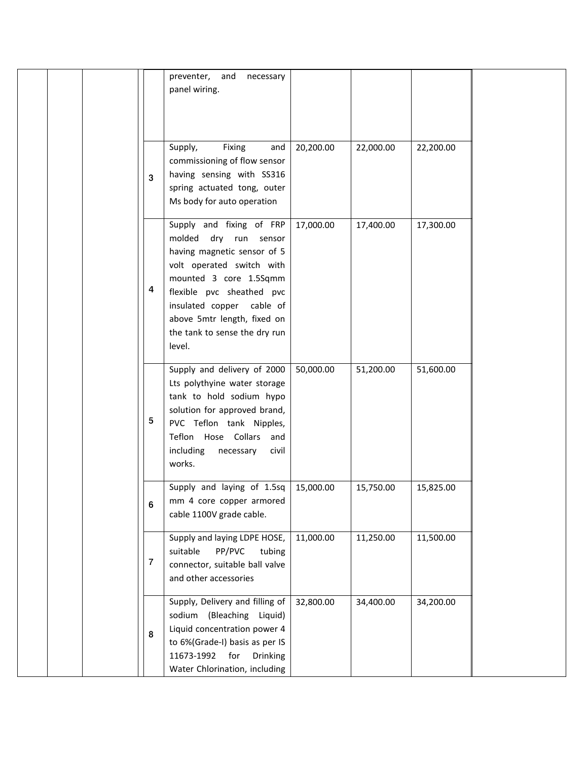|         | preventer, and<br>necessary<br>panel wiring.                                                                                                                                                                                                                                |           |           |           |  |
|---------|-----------------------------------------------------------------------------------------------------------------------------------------------------------------------------------------------------------------------------------------------------------------------------|-----------|-----------|-----------|--|
| 3       | Supply,<br>Fixing<br>and<br>commissioning of flow sensor<br>having sensing with SS316<br>spring actuated tong, outer<br>Ms body for auto operation                                                                                                                          | 20,200.00 | 22,000.00 | 22,200.00 |  |
| 4       | Supply and fixing of FRP<br>molded dry run sensor<br>having magnetic sensor of 5<br>volt operated switch with<br>mounted 3 core 1.5Sqmm<br>flexible pvc sheathed pvc<br>insulated copper cable of<br>above 5mtr length, fixed on<br>the tank to sense the dry run<br>level. | 17,000.00 | 17,400.00 | 17,300.00 |  |
| 5       | Supply and delivery of 2000<br>Lts polythyine water storage<br>tank to hold sodium hypo<br>solution for approved brand,<br>PVC Teflon tank Nipples,<br>Teflon Hose Collars and<br>including<br>necessary<br>civil<br>works.                                                 | 50,000.00 | 51,200.00 | 51,600.00 |  |
| 6       | Supply and laying of 1.5sq<br>mm 4 core copper armored<br>cable 1100V grade cable.                                                                                                                                                                                          | 15,000.00 | 15,750.00 | 15,825.00 |  |
| $\bf 7$ | Supply and laying LDPE HOSE,<br>PP/PVC<br>suitable<br>tubing<br>connector, suitable ball valve<br>and other accessories                                                                                                                                                     | 11,000.00 | 11,250.00 | 11,500.00 |  |
| 8       | Supply, Delivery and filling of<br>sodium (Bleaching<br>Liquid)<br>Liquid concentration power 4<br>to 6%(Grade-I) basis as per IS<br>11673-1992 for<br><b>Drinking</b><br>Water Chlorination, including                                                                     | 32,800.00 | 34,400.00 | 34,200.00 |  |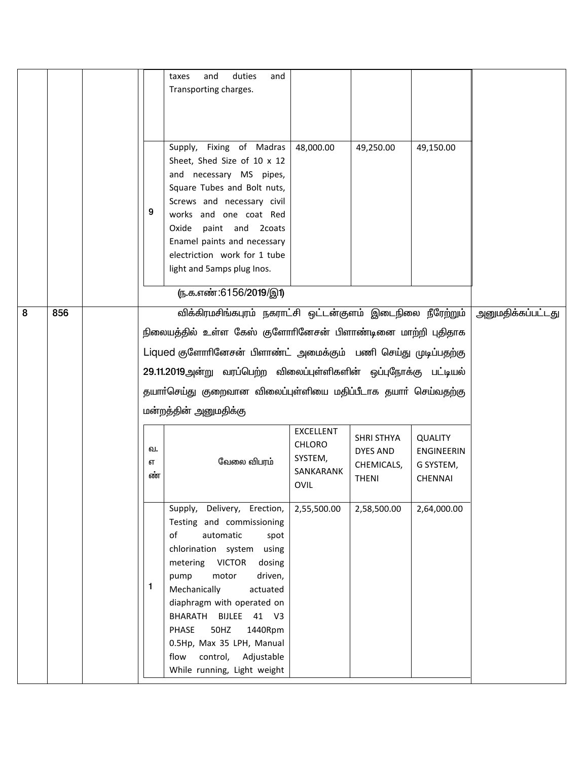|  | 9                                                                                                                                                                                                                                                                                           | and<br>duties<br>taxes<br>and<br>Transporting charges.<br>Supply, Fixing of Madras<br>Sheet, Shed Size of 10 x 12<br>and necessary MS pipes,<br>Square Tubes and Bolt nuts,<br>Screws and necessary civil<br>works and one coat Red<br>Oxide paint and 2coats                                                                                                                         | 48,000.00                                                  | 49,250.00                                                          | 49,150.00                                                          |  |  |  |
|--|---------------------------------------------------------------------------------------------------------------------------------------------------------------------------------------------------------------------------------------------------------------------------------------------|---------------------------------------------------------------------------------------------------------------------------------------------------------------------------------------------------------------------------------------------------------------------------------------------------------------------------------------------------------------------------------------|------------------------------------------------------------|--------------------------------------------------------------------|--------------------------------------------------------------------|--|--|--|
|  |                                                                                                                                                                                                                                                                                             | Enamel paints and necessary<br>electriction work for 1 tube<br>light and 5amps plug Inos.                                                                                                                                                                                                                                                                                             |                                                            |                                                                    |                                                                    |  |  |  |
|  |                                                                                                                                                                                                                                                                                             | <u>(ந</u> .க.எண்:6156/2019/இ1)                                                                                                                                                                                                                                                                                                                                                        |                                                            |                                                                    |                                                                    |  |  |  |
|  | நிலையத்தில் உள்ள கேஸ் குளோரினேசன் பிளாண்டினை மாற்றி புதிதாக<br>Liqued குளோரினேசன் பிளாண்ட் அமைக்கும் பணி செய்து முடிப்பதற்கு<br>29.11.2019அன்று வரப்பெற்ற விலைப்புள்ளிகளின் ஒப்புநோக்கு பட்டியல்<br>தயாா்செய்து குறைவான விலைப்புள்ளியை மதிப்பீடாக தயாா் செய்வதற்கு<br>மன்றத்தின் அனுமதிக்கு |                                                                                                                                                                                                                                                                                                                                                                                       |                                                            |                                                                    |                                                                    |  |  |  |
|  | வ.<br>எ<br>ண்                                                                                                                                                                                                                                                                               | வேலை விபரம்                                                                                                                                                                                                                                                                                                                                                                           | EXCELLENT<br><b>CHLORO</b><br>SYSTEM,<br>SANKARANK<br>OVIL | <b>SHRI STHYA</b><br><b>DYES AND</b><br>CHEMICALS,<br><b>THENI</b> | <b>QUALITY</b><br><b>ENGINEERIN</b><br>G SYSTEM,<br><b>CHENNAI</b> |  |  |  |
|  | 1                                                                                                                                                                                                                                                                                           | Supply, Delivery, Erection,<br>Testing and commissioning<br>of<br>automatic<br>spot<br>chlorination system using<br>metering VICTOR<br>dosing<br>motor<br>driven,<br>pump<br>Mechanically<br>actuated<br>diaphragm with operated on<br>BHARATH BIJLEE 41 V3<br>PHASE<br>50HZ<br>1440Rpm<br>0.5Hp, Max 35 LPH, Manual<br>control,<br>Adjustable<br>flow<br>While running, Light weight | 2,55,500.00                                                | 2,58,500.00                                                        | 2,64,000.00                                                        |  |  |  |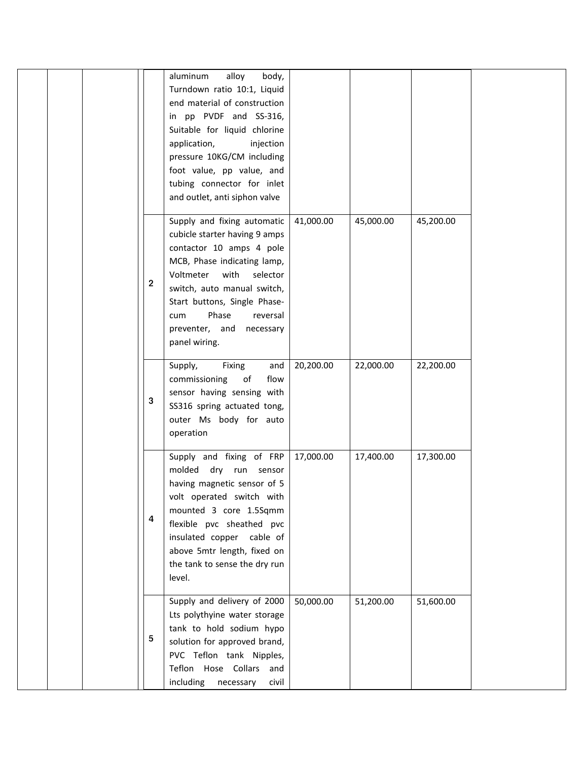|  |             | alloy<br>aluminum<br>body,<br>Turndown ratio 10:1, Liquid<br>end material of construction<br>in pp PVDF and SS-316,<br>Suitable for liquid chlorine<br>application,<br>injection<br>pressure 10KG/CM including<br>foot value, pp value, and<br>tubing connector for inlet<br>and outlet, anti siphon valve |           |           |           |
|--|-------------|------------------------------------------------------------------------------------------------------------------------------------------------------------------------------------------------------------------------------------------------------------------------------------------------------------|-----------|-----------|-----------|
|  | $\mathbf 2$ | Supply and fixing automatic<br>cubicle starter having 9 amps<br>contactor 10 amps 4 pole<br>MCB, Phase indicating lamp,<br>Voltmeter with<br>selector<br>switch, auto manual switch,<br>Start buttons, Single Phase-<br>Phase<br>reversal<br>cum<br>preventer, and necessary<br>panel wiring.              | 41,000.00 | 45,000.00 | 45,200.00 |
|  | 3           | Fixing<br>Supply,<br>and<br>commissioning<br>of<br>flow<br>sensor having sensing with<br>SS316 spring actuated tong,<br>outer Ms body for auto<br>operation                                                                                                                                                | 20,200.00 | 22,000.00 | 22,200.00 |
|  | 4           | Supply and fixing of FRP<br>molded dry run sensor<br>having magnetic sensor of 5<br>volt operated switch with<br>mounted 3 core 1.5Sqmm<br>flexible pvc sheathed pvc<br>insulated copper cable of<br>above 5mtr length, fixed on<br>the tank to sense the dry run<br>level.                                | 17,000.00 | 17,400.00 | 17,300.00 |
|  | 5           | Supply and delivery of 2000<br>Lts polythyine water storage<br>tank to hold sodium hypo<br>solution for approved brand,<br>PVC Teflon tank Nipples,<br>Teflon Hose Collars and<br>including<br>civil<br>necessary                                                                                          | 50,000.00 | 51,200.00 | 51,600.00 |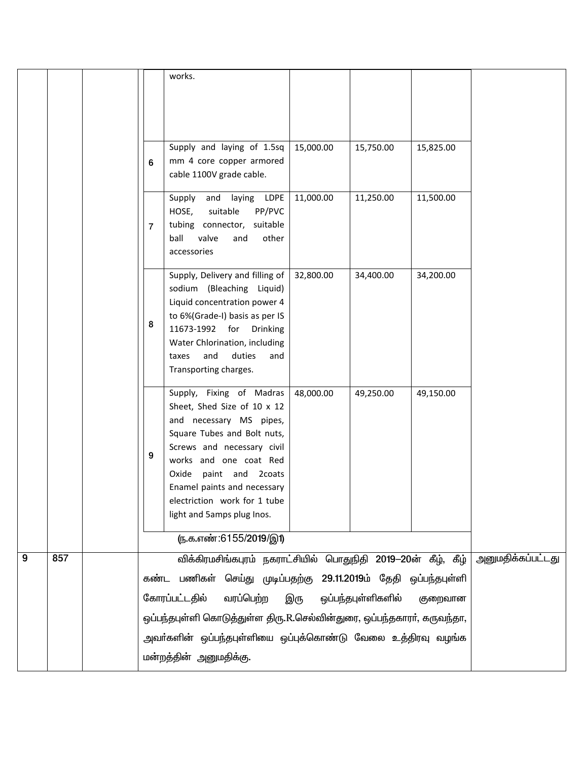|   |     |                | works.                                                                                                                                                                                                                                                                                                  |           |                    |           |                          |
|---|-----|----------------|---------------------------------------------------------------------------------------------------------------------------------------------------------------------------------------------------------------------------------------------------------------------------------------------------------|-----------|--------------------|-----------|--------------------------|
|   |     |                |                                                                                                                                                                                                                                                                                                         |           |                    |           |                          |
|   |     | 6              | Supply and laying of 1.5sq<br>mm 4 core copper armored<br>cable 1100V grade cable.                                                                                                                                                                                                                      | 15,000.00 | 15,750.00          | 15,825.00 |                          |
|   |     | $\overline{7}$ | laying LDPE<br>Supply<br>and<br>PP/PVC<br>HOSE,<br>suitable<br>tubing connector, suitable<br>ball<br>valve<br>other<br>and<br>accessories                                                                                                                                                               | 11,000.00 | 11,250.00          | 11,500.00 |                          |
|   |     | 8              | Supply, Delivery and filling of<br>sodium (Bleaching Liquid)<br>Liquid concentration power 4<br>to 6%(Grade-I) basis as per IS<br>11673-1992 for Drinking<br>Water Chlorination, including<br>and<br>duties<br>taxes<br>and<br>Transporting charges.                                                    | 32,800.00 | 34,400.00          | 34,200.00 |                          |
|   |     | 9              | Supply, Fixing of Madras<br>Sheet, Shed Size of 10 x 12<br>and necessary MS pipes,<br>Square Tubes and Bolt nuts,<br>Screws and necessary civil<br>works and one coat Red<br>paint and 2coats<br>Oxide<br>Enamel paints and necessary<br>electriction work for 1 tube<br>light and 5amps plug Inos.     | 48,000.00 | 49,250.00          | 49,150.00 |                          |
|   |     |                | (ந.க.எண்:6155/2019/இ1)                                                                                                                                                                                                                                                                                  |           |                    |           |                          |
| 9 | 857 |                | விக்கிரமசிங்கபுரம் நகராட்சியில் பொதுநிதி 2019-20ன் கீழ், கீழ்<br>கண்ட பணிகள் செய்து முடிப்பதற்கு 29.11.2019ம் தேதி ஒப்பந்தபுள்ளி<br>கோரப்பட்டதில்<br>வரப்பெற்ற<br>ஒப்பந்தபுள்ளி கொடுத்துள்ள திரு.R.செல்வின்துரை, ஒப்பந்தகாரா், கருவந்தா,<br>அவா்களின் ஒப்பந்தபுள்ளியை ஒப்புக்கொண்டு வேலை உத்திரவு வழங்க | இரு       | ஒப்பந்தபுள்ளிகளில் | குறைவான   | <u>அனுமதிக்கப்பட்டது</u> |
|   |     |                | மன்றத்தின் அனுமதிக்கு.                                                                                                                                                                                                                                                                                  |           |                    |           |                          |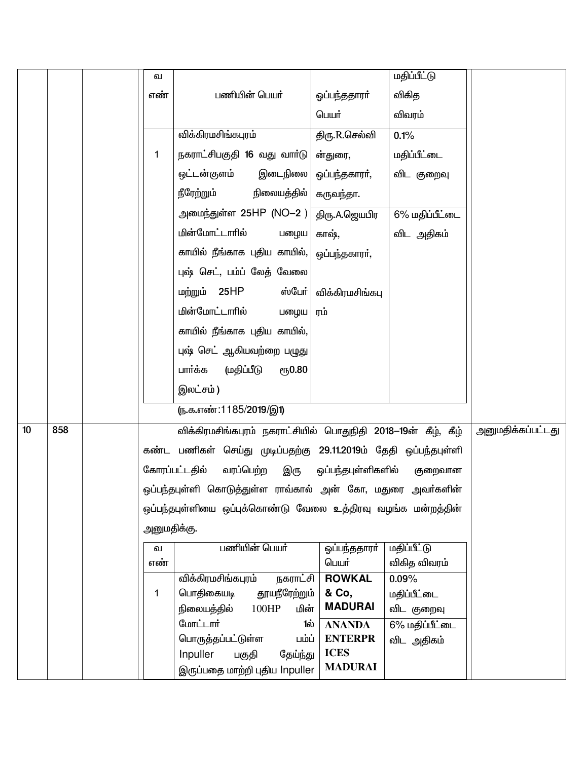|    |     | வ           |                                                                 |                         | <u>மதிப்பீட்டு</u>           |                          |
|----|-----|-------------|-----------------------------------------------------------------|-------------------------|------------------------------|--------------------------|
|    |     | எண்         | பணியின் பெயர்                                                   | ஓப்பந்ததாரா்            | விகித                        |                          |
|    |     |             |                                                                 | பெயர்                   | விவரம்                       |                          |
|    |     |             | விக்கிரமசிங்கபுரம்                                              | திரு.R.செல்வி           | 0.1%                         |                          |
|    |     | 1           | நகராட்சிபகுதி 16 வது வாா்டு                                     | ன்துரை,                 | மதிப்பீட்டை                  |                          |
|    |     |             | இடைநிலை<br>ஒட்டன்குளம்                                          | ஒப்பந்தகாரா்,           | விட குறைவு                   |                          |
|    |     |             | நீரேற்றும்<br>நிலையத்தில்                                       | கருவந்தா.               |                              |                          |
|    |     |             | அமை <u>ந்த</u> ுள்ள 25HP (NO–2 )                                | திரு.A.ஜெயபிர           | 6% மதிப்பீட்டை               |                          |
|    |     |             | மின்மோட்டாரில்<br>பழைய                                          | காஷ்,                   | விட அதிகம்                   |                          |
|    |     |             | காயில் நீங்காக புதிய காயில்,                                    | ஒப்பந்தகாரா்,           |                              |                          |
|    |     |             | புஷ் செட், பம்ப் லேத் வேலை                                      |                         |                              |                          |
|    |     |             | மற்றும் 25HP<br>ஸ்போ்                                           | விக்கிரமசிங்கபு         |                              |                          |
|    |     |             | மின்மோட்டாரில்<br>பழைய                                          | ரம்                     |                              |                          |
|    |     |             | காயில் நீங்காக புதிய காயில்,                                    |                         |                              |                          |
|    |     |             | புஷ் செட் ஆகியவற்றை பழுது                                       |                         |                              |                          |
|    |     |             | பார்க்க<br>(மதிப்பீடு<br>ரூ0.80                                 |                         |                              |                          |
|    |     |             | இலட்சம்)                                                        |                         |                              |                          |
|    |     |             | (ந.க.எண்:1185/2019/இ1)                                          |                         |                              |                          |
| 10 | 858 |             | விக்கிரமசிங்கபுரம் நகராட்சியில் பொதுநிதி 2018–19ன் கீழ், கீழ்   |                         |                              | <u>அனுமதிக்கப்பட்டது</u> |
|    |     |             | கண்ட பணிகள் செய்து முடிப்பதற்கு 29.11.2019ம் தேதி ஒப்பந்தபுள்ளி |                         |                              |                          |
|    |     |             | வரப்பெற்ற<br>கோரப்பட்டதில்<br>இரு                               | ஒப்பந்தபுள்ளிகளில்      | குறைவான                      |                          |
|    |     |             | ஒப்பந்தபுள்ளி கொடுத்துள்ள ராவ்கால் அன் கோ, மதுரை அவர்களின்      |                         |                              |                          |
|    |     |             | ஒப்பந்தபுள்ளியை ஒப்புக்கொண்டு வேலை உத்திரவு வழங்க மன்றத்தின்    |                         |                              |                          |
|    |     | அனுமதிக்கு. |                                                                 |                         |                              |                          |
|    |     | ഖ           | பணியின் பெயர்                                                   | ஒப்பந்ததாரா்            | <u>மதிப்பீட்டு</u>           |                          |
|    |     | எண்         |                                                                 | பெயர்                   | விகித விவரம்                 |                          |
|    |     |             | விக்கிரமசிங்கபுரம்<br>நகராட்சி                                  | <b>ROWKAL</b>           | $0.09\%$                     |                          |
|    |     | $\mathbf 1$ | தூயநீரேற்றும்<br>பொதிகையடி                                      | & Co,<br><b>MADURAI</b> | மதிப்பீட்டை                  |                          |
|    |     |             | நிலையத்தில்<br>100HP<br>மின்<br>மோட்டார்<br>1ல்                 | <b>ANANDA</b>           | விட குறைவு                   |                          |
|    |     |             | பொருத்தப்பட்டுள்ள<br>பம்ப்                                      | <b>ENTERPR</b>          | 6% மதிப்பீட்டை<br>விட அதிகம் |                          |
|    |     |             | Inpuller<br>பகுதி<br>தேய்ந்து                                   | <b>ICES</b>             |                              |                          |
|    |     |             | இருப்பதை மாற்றி புதிய Inpuller                                  | <b>MADURAI</b>          |                              |                          |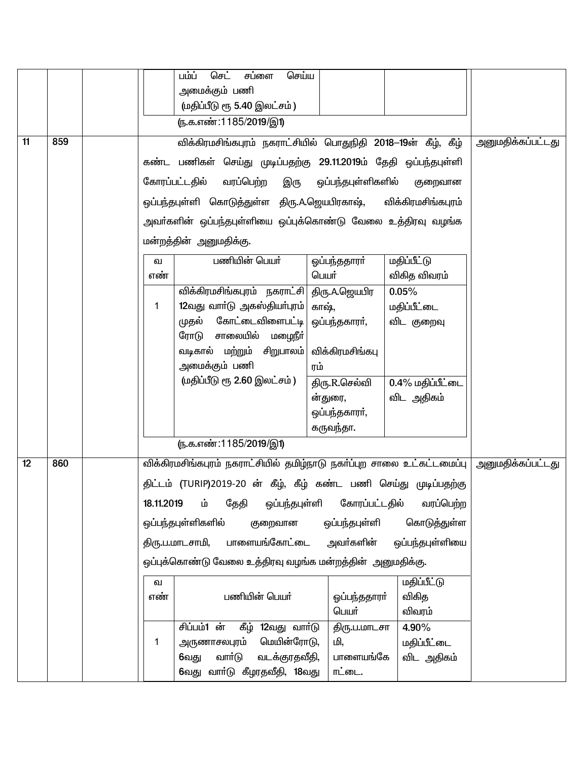|    |     | செய்ய<br>பம்ப்<br>செட்<br>சப்ளை                                                            |                          |
|----|-----|--------------------------------------------------------------------------------------------|--------------------------|
|    |     | அமைக்கும் பணி                                                                              |                          |
|    |     | (மதிப்பீடு ரூ 5.40 இலட்சம்)                                                                |                          |
|    |     |                                                                                            |                          |
|    |     | (ந.க.எண்:1185/2019/இ1)                                                                     |                          |
| 11 | 859 | விக்கிரமசிங்கபுரம் நகராட்சியில் பொதுநிதி 2018–19ன் கீழ், கீழ்                              | <u>அனுமதிக்கப்பட்டது</u> |
|    |     | கண்ட பணிகள் செய்து முடிப்பதற்கு 29.11.2019ம் தேதி ஒப்பந்தபுள்ளி                            |                          |
|    |     | கோரப்பட்டதில்<br>வரப்பெற்ற<br>இரு<br>ஒப்பந்தபுள்ளிகளில்<br>குறைவான                         |                          |
|    |     | ஒப்பந்தபுள்ளி கொடுத்துள்ள திரு.A.ஜெயபிரகாஷ்,<br>விக்கிரமசிங்கபுரம்                         |                          |
|    |     | அவா்களின் ஒப்பந்தபுள்ளியை ஒப்புக்கொண்டு வேலை உத்திரவு வழங்க                                |                          |
|    |     | மன்றத்தின் அனுமதிக்கு.                                                                     |                          |
|    |     | பணியின் பெயர்<br><b>மதிப்பீட்டு</b><br>ஓப்பந்ததாரா்<br>ഖ                                   |                          |
|    |     | விகித விவரம்<br>பெயர்<br>எண்                                                               |                          |
|    |     | விக்கிரமசிங்கபுரம் நகராட்சி  திரு.A.ஜெயபிர<br>0.05%                                        |                          |
|    |     | 12வது வாா்டு அகஸ்தியா்புரம்<br>மதிப்பீட்டை<br>காஷ்,<br>1                                   |                          |
|    |     | கோட்டைவிளைபட்டி<br>முதல்<br>ஒப்பந்தகாரா்,<br>விட குறைவு                                    |                          |
|    |     | ரோடு சாலையில்<br>மழைநீா்                                                                   |                          |
|    |     | வடிகால் மற்றும் சிறுபாலம்<br>விக்கிரமசிங்கபு                                               |                          |
|    |     | அமைக்கும் பணி<br>ரம்                                                                       |                          |
|    |     | (மதிப்பீடு ரூ 2.60 இலட்சம்)<br>0.4% மதிப்பீட்டை<br>திரு.R.செல்வி                           |                          |
|    |     | விட அதிகம்<br>ன்துரை,                                                                      |                          |
|    |     | ஒப்பந்தகாரா்,                                                                              |                          |
|    |     | கருவந்தா.                                                                                  |                          |
|    |     | (ந.க.எண்:1185/2019/இ1)                                                                     |                          |
| 12 | 860 | விக்கிரமசிங்கபுரம் நகராட்சியில் தமிழ்நாடு நகா்ப்புற சாலை உட்கட்டமைப்பு   அனுமதிக்கப்பட்டது |                          |
|    |     | திட்டம் (TURIP)2019-20 ன் கீழ், கீழ் கண்ட பணி செய்து முடிப்பதற்கு                          |                          |
|    |     | 18.11.2019<br>கோரப்பட்டதில்<br>வரப்பெற்ற<br>ம்<br>தேதி<br>ஒப்பந்தபுள்ளி                    |                          |
|    |     | கொடுத்துள்ள<br>ஒப்பந்தபுள்ளிகளில்<br>ஒப்பந்தபுள்ளி<br>குறைவான                              |                          |
|    |     | பாளையங்கோட்டை<br>அவா்களின்<br>ஒப்பந்தபுள்ளியை<br>திரு.ப.மாடசாமி,                           |                          |
|    |     | ஒப்புக்கொண்டு வேலை உத்திரவு வழங்க மன்றத்தின் அனுமதிக்கு.                                   |                          |
|    |     | மதிப்பீட்டு<br>வ                                                                           |                          |
|    |     | விகித<br>பணியின் பெயர்<br>எண்<br>ஒப்பந்ததாரா்                                              |                          |
|    |     | பெயர்<br>விவரம்                                                                            |                          |
|    |     | சிப்பம்1 ன்<br>கீழ் 12வது வார்டு<br>4.90%<br>திரு.ப.மாடசா                                  |                          |
|    |     | மெயின்ரோடு,<br>மி,<br><u>அருணாசலபுரம்</u><br>மதிப்பீட்டை<br>1                              |                          |
|    |     | வாா்டு<br>வடக்குரதவீதி,<br>பாளையங்கே<br>6வது<br>விட அதிகம்                                 |                          |
|    |     | 6வது வாா்டு கீழரதவீதி, 18வது<br>ாட்டை.                                                     |                          |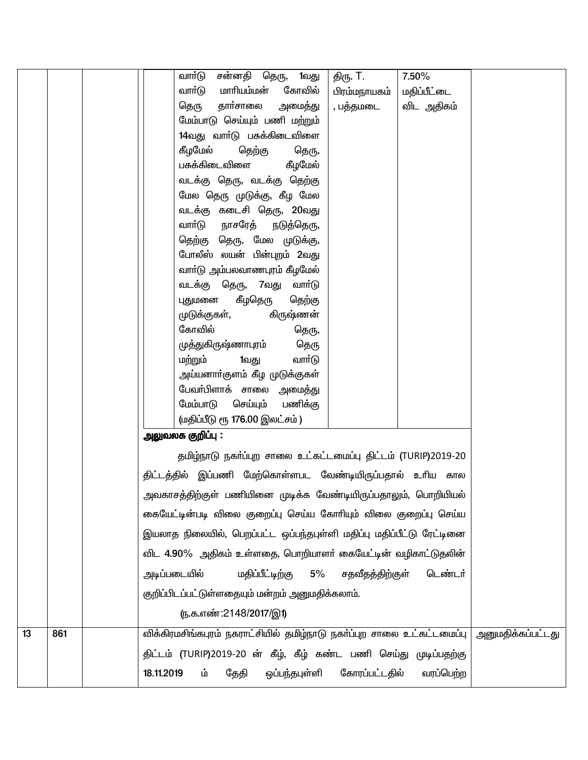|    |     | சன்னதி தெரு,<br>வாா்டு<br>1வது<br>7.50%<br>திரு. T.                                                |
|----|-----|----------------------------------------------------------------------------------------------------|
|    |     | வார்டு<br>மாரியம்மன்<br>கோவில்<br>மதிப்பீட்டை<br>பிரம்மநாயகம்                                      |
|    |     | தார்சாலை<br>அமைத்து<br>விட அதிகம்<br>தெரு<br>, பத்தமடை                                             |
|    |     | மேம்பாடு செய்யும் பணி மற்றும்                                                                      |
|    |     | 14வது வாா்டு பசுக்கிடைவிளை                                                                         |
|    |     | கீழமேல்<br>தெற்கு<br>தெரு,                                                                         |
|    |     | பசுக்கிடைவிளை<br>கீழமேல்                                                                           |
|    |     | வடக்கு தெரு, வடக்கு தெற்கு                                                                         |
|    |     | மேல தெரு முடுக்கு, கீழ மேல                                                                         |
|    |     | வடக்கு கடைசி தெரு, 20வது                                                                           |
|    |     | நாசரேத்<br>வாா்டு<br>நடுத்தெரு,                                                                    |
|    |     | தெற்கு தெரு, மேல முடுக்கு,                                                                         |
|    |     | போலீஸ் லயன் பின்புறம் 2வது                                                                         |
|    |     | வாா்டு அம்பலவாணபுரம் கீழமேல்                                                                       |
|    |     | வடக்கு தெரு, 7வது வாா்டு<br>கீழதெரு<br>தெற்கு<br>புதுமனை                                           |
|    |     | முடுக்குகள்,<br>கிருஷ்ணன்                                                                          |
|    |     | கோவில்<br>தெரு,                                                                                    |
|    |     | முத்துகிருஷ்ணாபுரம்<br>தெரு                                                                        |
|    |     | வார்டு<br>மற்றும்<br>1வது                                                                          |
|    |     | அய்யனாா்குளம் கீழ முடுக்குகள்                                                                      |
|    |     | பேவா்பிளாக் சாலை அமைத்து                                                                           |
|    |     | மேம்பாடு<br>செய்யும்<br>பணிக்கு                                                                    |
|    |     | (மதிப்பீடு ரூ 176.00 இலட்சம்)                                                                      |
|    |     | அலுவலக குறிப்பு :                                                                                  |
|    |     | தமிழ்நாடு நகர்ப்புற சாலை உட்கட்டமைப்பு திட்டம் (TURIP)2019-20                                      |
|    |     | திட்டத்தில் இப்பணி மேற்கொள்ளபட வேண்டியிருப்பதால் உரிய கால                                          |
|    |     | அவகாசத்திற்குள் பணியினை முடிக்க வேண்டியிருப்பதாலும், பொறியியல்                                     |
|    |     | கையேட்டின்படி விலை குறைப்பு செய்ய கோரியும் விலை குறைப்பு செய்ய                                     |
|    |     | இயலாத நிலையில், பெறப்பட்ட ஒப்பந்தபுள்ளி மதிப்பு மதிப்பீட்டு ரேட்டினை                               |
|    |     | விட 4.90% அதிகம் உள்ளதை, பொறியாளர் கையேட்டின் வழிகாட்டுதலின்                                       |
|    |     | மதிப்பீட்டிற்கு<br>அடிப்படையில்<br>$5\%$<br>சதவீதத்திற்குள்<br>டெண்டர்                             |
|    |     | குறிப்பிடப்பட்டுள்ளதையும் மன்றம் அனுமதிக்கலாம்.                                                    |
|    |     | <u>(ந.க.எண்:2148/2017/இ1)</u>                                                                      |
| 13 | 861 | விக்கிரமசிங்கபுரம் நகராட்சியில் தமிழ்நாடு நகா்ப்புற சாலை உட்கட்டமைப்பு<br><u>அனுமதிக்கப்பட்டது</u> |
|    |     | திட்டம் (TURIP)2019-20 ன் கீழ், கீழ் கண்ட பணி செய்து முடிப்பதற்கு                                  |
|    |     | கோரப்பட்டதில்<br>18.11.2019<br>தேதி<br>ஒப்பந்தபுள்ளி<br>வரப்பெற்ற<br>ம்                            |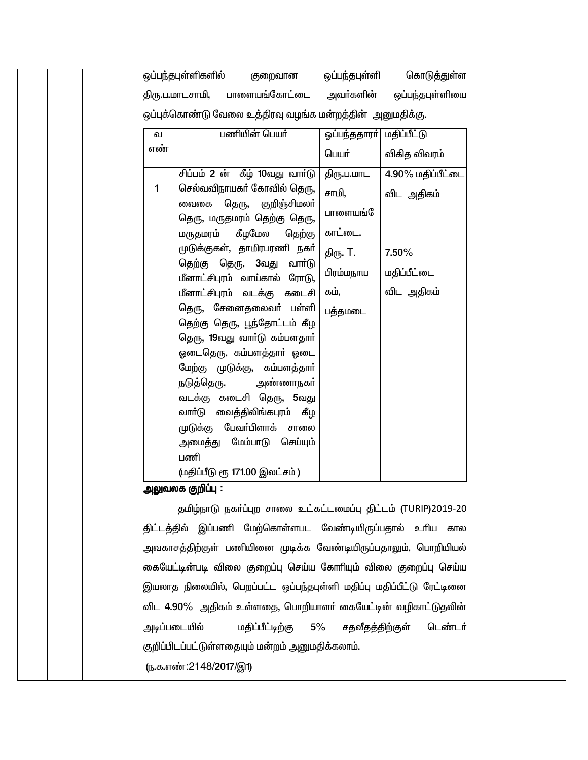| ஒப்பந்தபுள்ளிகளில்<br>குறைவான                                        | ஒப்பந்தபுள்ளி             | கொடுத்துள்ள       |
|----------------------------------------------------------------------|---------------------------|-------------------|
| பாளையங்கோட்டை<br>திரு.ப.மாடசாமி,                                     | அவா்களின்                 | ஒப்பந்தபுள்ளியை   |
| ஒப்புக்கொண்டு வேலை உத்திரவு வழங்க மன்றத்தின்  அனுமதிக்கு.            |                           |                   |
| பணியின் பெயர்<br>வ                                                   | ஒப்பந்ததாரா்  மதிப்பீட்டு |                   |
| எண்                                                                  | பெயர்                     | விகித விவரம்      |
| சிப்பம் 2 ன் கீழ் 10வது வார்டு                                       | திரு.ப.மாட                | 4.90% மதிப்பீட்டை |
| செல்வவிநாயகர் கோவில் தெரு,<br>1                                      | சாமி,                     | விட அதிகம்        |
| வைகை தெரு, குறிஞ்சிமலா்                                              | பாளையங்                   |                   |
| தெரு, மருதமரம் தெற்கு தெரு,<br>கீழமேல<br>மருதமரம்<br>தெற்கு          | காட்டை.                   |                   |
| முடுக்குகள், தாமிரபரணி நகர்                                          |                           | 7.50%             |
| தெற்கு தெரு, 3வது<br>வார்டு                                          | திரு. T.                  |                   |
| மீனாட்சிபுரம் வாய்கால் ரோடு,                                         | பிரம்மநாய                 | மதிப்பீட்டை       |
| மீனாட்சிபுரம் வடக்கு கடைசி                                           | கம்,                      | விட அதிகம்        |
| தெரு, சேனைதலைவர் பள்ளி                                               | பத்தமடை                   |                   |
| தெற்கு தெரு, பூந்தோட்டம் கீழ<br>தெரு, 19வது வாா்டு கம்பளதாா்         |                           |                   |
| ஓடைதெரு, கம்பளத்தார் ஓடை                                             |                           |                   |
| மேற்கு முடுக்கு, கம்பளத்தாா்                                         |                           |                   |
| நடுத்தெரு,<br>அண்ணாநகா்                                              |                           |                   |
| வடக்கு கடைசி தெரு, 5வது                                              |                           |                   |
| வாா்டு வைத்திலிங்கபுரம் கீழ<br>முடுக்கு பேவா்பிளாக் சாலை             |                           |                   |
| அமைத்து மேம்பாடு செய்யும்                                            |                           |                   |
| பணி                                                                  |                           |                   |
| (மதிப்பீடு ரூ 171.00 இலட்சம்)                                        |                           |                   |
| அலுவலக குறிப்பு :                                                    |                           |                   |
| தமிழ்நாடு நகர்ப்புற சாலை உட்கட்டமைப்பு திட்டம் (TURIP)2019-20        |                           |                   |
| திட்டத்தில் இப்பணி மேற்கொள்ளபட வேண்டியிருப்பதால் உரிய கால            |                           |                   |
| அவகாசத்திற்குள் பணியினை முடிக்க வேண்டியிருப்பதாலும், பொறியியல்       |                           |                   |
| கையேட்டின்படி விலை குறைப்பு செய்ய கோரியும் விலை குறைப்பு செய்ய       |                           |                   |
| இயலாத நிலையில், பெறப்பட்ட ஒப்பந்தபுள்ளி மதிப்பு மதிப்பீட்டு ரேட்டினை |                           |                   |
| விட 4.90% அதிகம் உள்ளதை, பொறியாளா் கையேட்டின் வழிகாட்டுதலின்         |                           |                   |
| அடிப்படையில்<br>மதிப்பீட்டிற்கு<br>5%                                | சதவீதத்திற்குள்           | டெண்டர்           |
| குறிப்பிடப்பட்டுள்ளதையும் மன்றம் அனுமதிக்கலாம்.                      |                           |                   |
| ரு.க.எண்:2148/2017/இ1)                                               |                           |                   |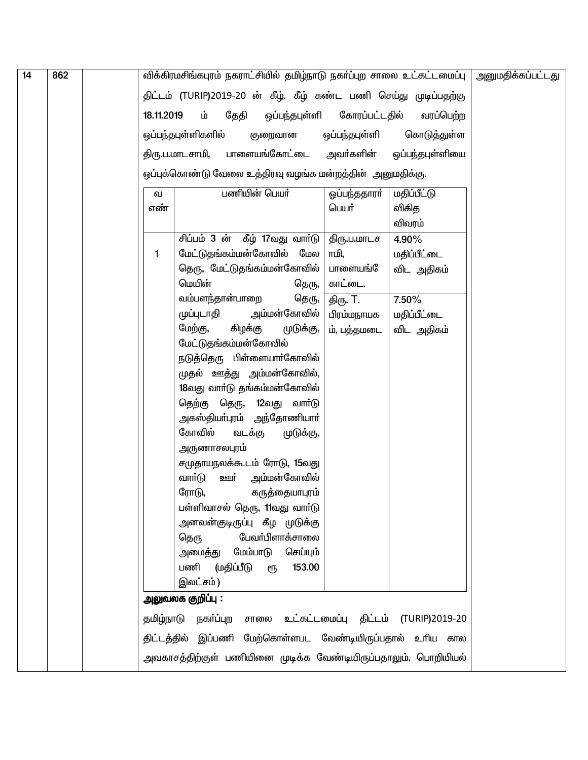| $\overline{14}$ | 862 |            | விக்கிரமசிங்கபுரம் நகராட்சியில் தமிழ்நாடு நகா்ப்புற சாலை உட்கட்டமைப்பு   அனுமதிக்கப்பட்டது |                        |                    |  |
|-----------------|-----|------------|--------------------------------------------------------------------------------------------|------------------------|--------------------|--|
|                 |     |            | திட்டம் (TURIP)2019-20 ன் கீழ், கீழ் கண்ட பணி செய்து முடிப்பதற்கு                          |                        |                    |  |
|                 |     | 18.11.2019 | ஒப்பந்தபுள்ளி<br>ம்<br>தேதி                                                                | கோரப்பட்டதில்          | வரப்பெற்ற          |  |
|                 |     |            |                                                                                            |                        |                    |  |
|                 |     |            | ஒப்பந்தபுள்ளிகளில்<br>குறைவான                                                              | ஒப்பந்தபுள்ளி          | கொடுத்துள்ள        |  |
|                 |     |            | திரு.ப.மாடசாமி, பாளையங்கோட்டை அவா்களின்                                                    |                        | ஒப்பந்தபுள்ளியை    |  |
|                 |     |            | ஒப்புக்கொண்டு வேலை உத்திரவு வழங்க மன்றத்தின் அனுமதிக்கு.                                   |                        |                    |  |
|                 |     | ഖ          | பணியின் பெயர்                                                                              | ஓப்பந்ததாரா்           | <b>மதிப்பீட்டு</b> |  |
|                 |     | எண்        |                                                                                            | பெயர்                  | விகித              |  |
|                 |     |            |                                                                                            |                        | விவரம்             |  |
|                 |     |            | சிப்பம் 3 ன் கீழ் 17வது வார்டு                                                             | திரு.ப.மாடச            | 4.90%              |  |
|                 |     | 1          | மேட்டுதங்கம்மன்கோவில் மேல                                                                  | ாமி,                   | மதிப்பீட்டை        |  |
|                 |     |            | தெரு, மேட்டுதங்கம்மன்கோவில்<br>மெயின்                                                      | பாளையங்                | விட அதிகம்         |  |
|                 |     |            | தெரு,<br>வம்பளந்தான்பாறை                                                                   | காட்டை.                | 7.50%              |  |
|                 |     |            | தெரு,<br>முப்புடாதி அம்மன்கோவில்                                                           | திரு. T.<br>பிரம்மநாயக | மதிப்பீட்டை        |  |
|                 |     |            | மேற்கு,<br>கிழக்கு<br>முடுக்கு,                                                            | ம், பத்தமடை            | விட அதிகம்         |  |
|                 |     |            | மேட்டுதங்கம்மன்கோவில்                                                                      |                        |                    |  |
|                 |     |            | நடுத்தெரு பிள்ளையாா்கோவில்                                                                 |                        |                    |  |
|                 |     |            | முதல் ஊத்து அம்மன்கோவில்,                                                                  |                        |                    |  |
|                 |     |            | 18வது வாா்டு தங்கம்மன்கோவில்                                                               |                        |                    |  |
|                 |     |            | தெற்கு தெரு, 12வது வார்டு                                                                  |                        |                    |  |
|                 |     |            | அகஸ்தியா்புரம் அந்தோணியாா்                                                                 |                        |                    |  |
|                 |     |            | கோவில்<br>வடக்கு<br>முடுக்கு,                                                              |                        |                    |  |
|                 |     |            | அருணாசலபுரம்                                                                               |                        |                    |  |
|                 |     |            | சமுதாயநலக்கூடம் ரோடு, 15வது                                                                |                        |                    |  |
|                 |     |            | வாா்டு<br><u>ஊ</u> ர் அம்மன்கோவில்<br>ரோடு,                                                |                        |                    |  |
|                 |     |            | கருத்தையாபுரம்<br>பள்ளிவாசல் தெரு, 11வது வாா்டு                                            |                        |                    |  |
|                 |     |            | அளவன்குடிருப்பு கீழ முடுக்கு                                                               |                        |                    |  |
|                 |     |            | பேவா்பிளாக்சாலை<br>தெரு                                                                    |                        |                    |  |
|                 |     |            | அமைத்து மேம்பாடு செய்யும்                                                                  |                        |                    |  |
|                 |     |            | பணி<br>(மதிப்பீடு<br>153.00<br>ரூ                                                          |                        |                    |  |
|                 |     |            | இலட்சம்)                                                                                   |                        |                    |  |
|                 |     |            | அலுவலக குறிப்பு :                                                                          |                        |                    |  |
|                 |     | தமிழ்நாடு  | நகா்ப்புற சாலை உட்கட்டமைப்பு திட்டம் (TURIP)2019-20                                        |                        |                    |  |
|                 |     |            | திட்டத்தில் இப்பணி மேற்கொள்ளபட வேண்டியிருப்பதால் உரிய கால                                  |                        |                    |  |
|                 |     |            | அவகாசத்திற்குள் பணியினை முடிக்க வேண்டியிருப்பதாலும், பொறியியல்                             |                        |                    |  |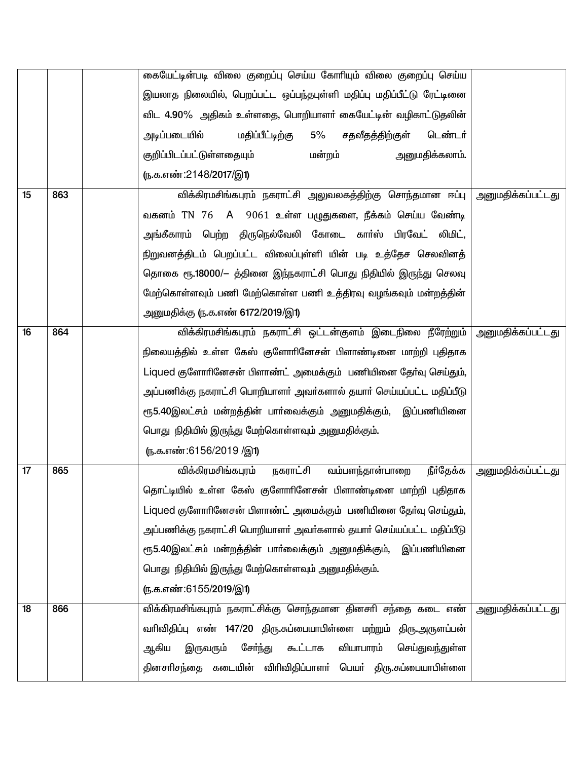|    |     | கையேட்டின்படி விலை குறைப்பு செய்ய கோரியும் விலை குறைப்பு செய்ய                 |                          |
|----|-----|--------------------------------------------------------------------------------|--------------------------|
|    |     | இயலாத நிலையில், பெறப்பட்ட ஒப்பந்தபுள்ளி மதிப்பு மதிப்பீட்டு ரேட்டினை           |                          |
|    |     | விட 4.90% அதிகம் உள்ளதை, பொறியாளா் கையேட்டின் வழிகாட்டுதலின்                   |                          |
|    |     | அடிப்படையில்<br>மதிப்பீட்டிற்கு<br>5% சதவீதத்திற்குள்<br>டெண்டர்               |                          |
|    |     | அனுமதிக்கலாம்.<br>குறிப்பிடப்பட்டுள்ளதையும்<br>மன்றம்                          |                          |
|    |     | (ந.க.எண்:2148/2017/இ1)                                                         |                          |
| 15 | 863 | விக்கிரமசிங்கபுரம் நகராட்சி அலுவலகத்திற்கு சொந்தமான ஈப்பு                      | அனுமதிக்கப்பட்டது        |
|    |     | வகனம் TN 76 A 9061 உள்ள பழுதுகளை, நீக்கம் செய்ய வேண்டி                         |                          |
|    |     | அங்கீகாரம் பெற்ற திருநெல்வேலி கோடை காா்ஸ் பிரவேட் லிமிட்,                      |                          |
|    |     | நிறுவனத்திடம் பெறப்பட்ட விலைப்புள்ளி யின் படி உத்தேச செலவினத்                  |                          |
|    |     | தொகை ரூ.18000/– த்தினை இந்நகராட்சி பொது நிதியில் இருந்து செலவு                 |                          |
|    |     | மேற்கொள்ளவும் பணி மேற்கொள்ள பணி உத்திரவு வழங்கவும் மன்றத்தின்                  |                          |
|    |     | அனுமதிக்கு (ந.க.எண் 6172/2019/இ1)                                              |                          |
| 16 | 864 | விக்கிரமசிங்கபுரம் நகராட்சி ஒட்டன்குளம் இடைநிலை நீரேற்றும்   அனுமதிக்கப்பட்டது |                          |
|    |     | நிலையத்தில் உள்ள கேஸ் குளோாினேசன் பிளாண்டினை மாற்றி புதிதாக                    |                          |
|    |     | Liqued குளோரினேசன் பிளாண்ட் அமைக்கும் பணியினை தேர்வு செய்தும்,                 |                          |
|    |     | அப்பணிக்கு நகராட்சி பொறியாளா் அவா்களால் தயாா் செய்யப்பட்ட மதிப்பீடு            |                          |
|    |     | ரூ5.40இலட்சம் மன்றத்தின் பாா்வைக்கும் அனுமதிக்கும், இப்பணியினை                 |                          |
|    |     | பொது நிதியில் இருந்து மேற்கொள்ளவும் அனுமதிக்கும்.                              |                          |
|    |     | <u>(ந.க.எண்:6156/2019 /இ1)</u>                                                 |                          |
| 17 | 865 | நகராட்சி<br>வம்பளந்தான்பாறை<br>விக்கிரமசிங்கபுரம்<br>நீர்தேக்க                 | <u>அனுமதிக்கப்பட்டது</u> |
|    |     | தொட்டியில் உள்ள கேஸ் குளோரினேசன் பிளாண்டினை மாற்றி புதிதாக                     |                          |
|    |     | Liqued குளோரினேசன் பிளாண்ட் அமைக்கும் பணியினை தேர்வு செய்தும்,                 |                          |
|    |     | அப்பணிக்கு நகராட்சி பொறியாளா் அவா்களால் தயாா் செய்யப்பட்ட மதிப்பீடு            |                          |
|    |     | ரூ5.40இலட்சம் மன்றத்தின் பாா்வைக்கும் அனுமதிக்கும், இப்பணியினை                 |                          |
|    |     | பொது நிதியில் இருந்து மேற்கொள்ளவும் அனுமதிக்கும்.                              |                          |
|    |     | <u>(ந.க.எண்:6155/2019/இ1)</u>                                                  |                          |
| 18 | 866 | விக்கிரமசிங்கபுரம் நகராட்சிக்கு சொந்தமான தினசாி சந்தை கடை எண்                  | <u>அனுமதிக்கப்பட்டது</u> |
|    |     | வரிவிதிப்பு எண் 147/20 திரு.சுப்பையாபிள்ளை மற்றும் திரு.அருளப்பன்              |                          |
|    |     | வியாபாரம்<br>சேர்ந்து<br>ஆகிய<br>இருவரும்<br>௬ட்டாக<br>செய்துவந்துள்ள          |                          |
|    |     | தினசாிசந்தை கடையின் விாிவிதிப்பாளா் பெயா் திரு.சுப்பையாபிள்ளை                  |                          |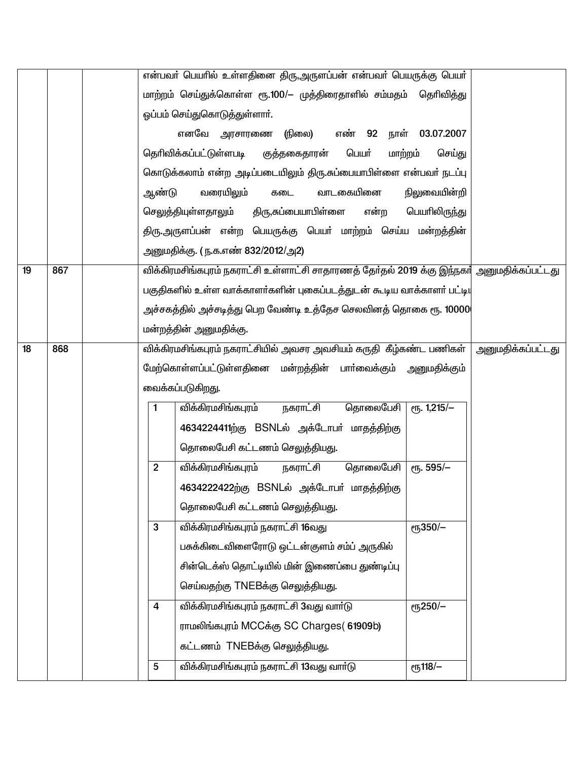|    |     |                | என்பவா் பெயாில் உள்ளதினை திரு,அருளப்பன் என்பவா் பெயருக்கு பெயா்                            |                 |                          |
|----|-----|----------------|--------------------------------------------------------------------------------------------|-----------------|--------------------------|
|    |     |                | மாற்றம் செய்துக்கொள்ள ரூ.100/— முத்திரைதாளில் சம்மதம் தெரிவித்து                           |                 |                          |
|    |     |                | ஓப்பம் செய்துகொடுத்துள்ளாா்.                                                               |                 |                          |
|    |     |                | (நிலை)<br>எண் 92 நாள் 03.07.2007<br>எனவே அரசாரணை                                           |                 |                          |
|    |     |                | தெரிவிக்கப்பட்டுள்ளபடி குத்தகைதாரன்<br>பெயர்<br>மாற்றம்                                    | செய்து          |                          |
|    |     |                | கொடுக்கலாம் என்ற அடிப்படையிலும் திரு.சுப்பையாபிள்ளை என்பவர் நடப்பு                         |                 |                          |
|    |     | ஆண்டு          | வாடகையினை<br>வரையிலும்<br>கடை                                                              | நிலுவையின்றி    |                          |
|    |     |                | செலுத்தியுள்ளதாலும்<br>திரு,சுப்பையாபிள்ளை<br>என்ற                                         | பெயரிலிருந்து   |                          |
|    |     |                | திரு.அருளப்பன் என்ற பெயருக்கு பெயர் மாற்றம் செய்ய மன்றத்தின்                               |                 |                          |
|    |     |                | <u>அனுமதிக்கு. (ந.க.எண் 832/2012/அ2)</u>                                                   |                 |                          |
| 19 | 867 |                | விக்கிரமசிங்கபுரம் நகராட்சி உள்ளாட்சி சாதாரணத் தேர்தல் 2019 க்கு இந்நகர் அனுமதிக்கப்பட்டது |                 |                          |
|    |     |                | பகுதிகளில் உள்ள வாக்காளா்களின் புகைப்படத்துடன் கூடிய வாக்காளா் பட்டி $\mathfrak{q}$        |                 |                          |
|    |     |                | அச்சகத்தில் அச்சடித்து பெற வேண்டி உத்தேச செலவினத் தொகை ரூ. 10000                           |                 |                          |
|    |     |                | மன்றத்தின் அனுமதிக்கு.                                                                     |                 |                          |
| 18 | 868 |                | விக்கிரமசிங்கபுரம் நகராட்சியில் அவசர அவசியம் கருதி  கீழ்கண்ட பணிகள்                        |                 | <u>அனுமதிக்கப்பட்டது</u> |
|    |     |                | மேற்கொள்ளப்பட்டுள்ளதினை மன்றத்தின் பாா்வைக்கும் அனுமதிக்கும்                               |                 |                          |
|    |     |                | வைக்கப்படுகிறது.                                                                           |                 |                          |
|    |     | 1              | நகராட்சி<br>தொலைபேசி<br>விக்கிரமசிங்கபுரம்                                                 | $e$ гђ. 1,215/- |                          |
|    |     |                | 4634224411ற்கு BSNLல் அக்டோபர் மாதத்திற்கு                                                 |                 |                          |
|    |     |                | தொலைபேசி கட்டணம் செலுத்தியது.                                                              |                 |                          |
|    |     | $\overline{2}$ | விக்கிரமசிங்கபுரம்<br>நகராட்சி<br>தொலைபேசி                                                 | ет. 595/-       |                          |
|    |     |                | 4634222422ற்கு BSNLல் அக்டோபர் மாதத்திற்கு                                                 |                 |                          |
|    |     |                | தொலைபேசி கட்டணம் செலுத்தியது.                                                              |                 |                          |
|    |     | 3              | விக்கிரமசிங்கபுரம் நகராட்சி 16வது                                                          | еҧ350/-         |                          |
|    |     |                | பசுக்கிடைவிளைரோடு ஒட்டன்குளம் சம்ப் அருகில்                                                |                 |                          |
|    |     |                | சின்டெக்ஸ் தொட்டியில் மின் இணைப்பை துண்டிப்பு                                              |                 |                          |
|    |     |                | செய்வதற்கு TNEBக்கு செலுத்தியது.                                                           |                 |                          |
|    |     | 4              | விக்கிரமசிங்கபுரம் நகராட்சி 3வது வார்டு                                                    | <b>е</b> ҧ250/- |                          |
|    |     |                | ராமலிங்கபுரம் MCCக்கு SC Charges (61909b)                                                  |                 |                          |
|    |     |                | கட்டணம் TNEBக்கு செலுத்தியது.                                                              |                 |                          |
|    |     | 5              | விக்கிரமசிங்கபுரம் நகராட்சி 13வது வார்டு                                                   | $\sqrt{118/-}$  |                          |